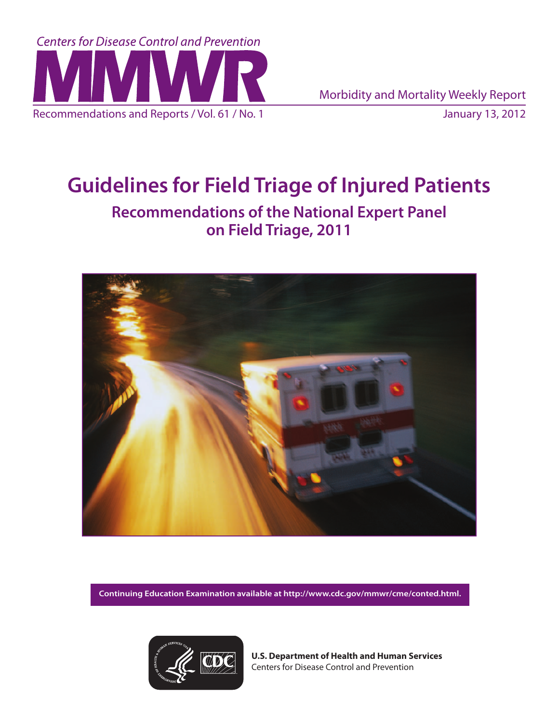

# **Guidelines for Field Triage of Injured Patients**

# **Recommendations of the National Expert Panel on Field Triage, 2011**



**Continuing Education Examination available at [http://www.cdc.gov/mmwr/cme/conted.html.](http://www.cdc.gov/mmwr/cme/conted.html)** 



**U.S. Department of Health and Human Services** Centers for Disease Control and Prevention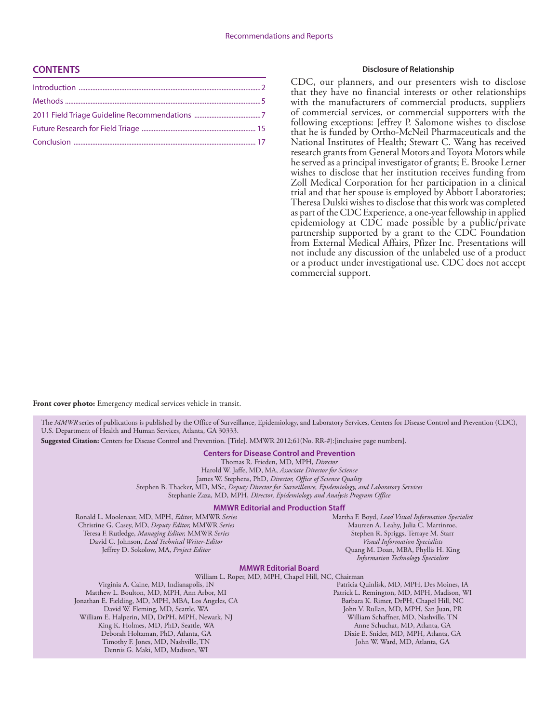#### **CONTENTS**

#### **Disclosure of Relationship**

CDC, our planners, and our presenters wish to disclose that they have no financial interests or other relationships with the manufacturers of commercial products, suppliers of commercial services, or commercial supporters with the following exceptions: Jeffrey P. Salomone wishes to disclose that he is funded by Ortho-McNeil Pharmaceuticals and the National Institutes of Health; Stewart C. Wang has received research grants from General Motors and Toyota Motors while he served as a principal investigator of grants; E. Brooke Lerner wishes to disclose that her institution receives funding from Zoll Medical Corporation for her participation in a clinical trial and that her spouse is employed by Abbott Laboratories; Theresa Dulski wishes to disclose that this work was completed as part of the CDC Experience, a one-year fellowship in applied epidemiology at CDC made possible by a public/private partnership supported by a grant to the CDC Foundation from External Medical Affairs, Pfizer Inc. Presentations will not include any discussion of the unlabeled use of a product or a product under investigational use. CDC does not accept commercial support.

**Front cover photo:** Emergency medical services vehicle in transit.

The *MMWR* series of publications is published by the Office of Surveillance, Epidemiology, and Laboratory Services, Centers for Disease Control and Prevention (CDC), U.S. Department of Health and Human Services, Atlanta, GA 30333.

**Suggested Citation:** Centers for Disease Control and Prevention. [Title]. MMWR 2012;61(No. RR-#):[inclusive page numbers].

#### **Centers for Disease Control and Prevention**

Thomas R. Frieden, MD, MPH, *Director* Harold W. Jaffe, MD, MA, *Associate Director for Science* James W. Stephens, PhD, *Director, Office of Science Quality* Stephen B. Thacker, MD, MSc, *Deputy Director for Surveillance, Epidemiology, and Laboratory Services* Stephanie Zaza, MD, MPH, *Director, Epidemiology and Analysis Program Office*

#### **MMWR Editorial and Production Staff**

Ronald L. Moolenaar, MD, MPH, *Editor,* MMWR *Series* Christine G. Casey, MD, *Deputy Editor,* MMWR *Series* Teresa F. Rutledge, *Managing Editor,* MMWR *Series* David C. Johnson, *Lead Technical Writer-Editor* Jeffrey D. Sokolow, MA, *Project Editor*

Martha F. Boyd, *Lead Visual Information Specialist* Maureen A. Leahy, Julia C. Martinroe, Stephen R. Spriggs, Terraye M. Starr *Visual Information Specialists* Quang M. Doan, MBA, Phyllis H. King *Information Technology Specialists*

#### **MMWR Editorial Board**

William L. Roper, MD, MPH, Chapel Hill, NC, Chairman Virginia A. Caine, MD, Indianapolis, IN Matthew L. Boulton, MD, MPH, Ann Arbor, MI Jonathan E. Fielding, MD, MPH, MBA, Los Angeles, CA David W. Fleming, MD, Seattle, WA William E. Halperin, MD, DrPH, MPH, Newark, NJ King K. Holmes, MD, PhD, Seattle, WA Deborah Holtzman, PhD, Atlanta, GA Timothy F. Jones, MD, Nashville, TN Dennis G. Maki, MD, Madison, WI

Patricia Quinlisk, MD, MPH, Des Moines, IA Patrick L. Remington, MD, MPH, Madison, WI Barbara K. Rimer, DrPH, Chapel Hill, NC John V. Rullan, MD, MPH, San Juan, PR William Schaffner, MD, Nashville, TN Anne Schuchat, MD, Atlanta, GA Dixie E. Snider, MD, MPH, Atlanta, GA John W. Ward, MD, Atlanta, GA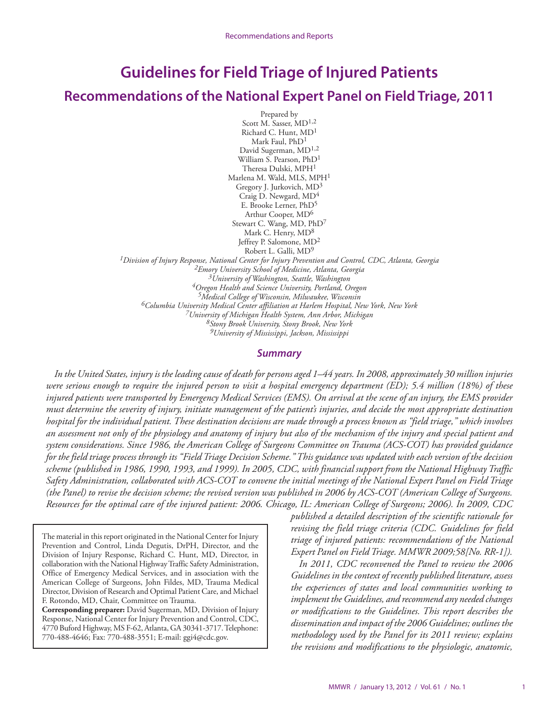# **Guidelines for Field Triage of Injured Patients**

# **Recommendations of the National Expert Panel on Field Triage, 2011**  Prepared by

Scott M. Sasser, MD1,2 Richard C. Hunt, MD1 Mark Faul, PhD<sup>1</sup> David Sugerman, MD1,2 William S. Pearson, PhD1 Theresa Dulski, MPH1 Marlena M. Wald, MLS, MPH1 Gregory J. Jurkovich, MD3 Craig D. Newgard, MD<sup>4</sup> E. Brooke Lerner, PhD<sup>5</sup> Arthur Cooper, MD6 Stewart C. Wang, MD, PhD7 Mark C. Henry, MD8 Jeffrey P. Salomone, MD2 Robert L. Galli, MD9 *1Division of Injury Response, National Center for Injury Prevention and Control, CDC, Atlanta, Georgia 2Emory University School of Medicine, Atlanta, Georgia 3University of Washington, Seattle, Washington 4Oregon Health and Science University, Portland, Oregon*  <sup>6</sup>Columbia University Medical Center affiliation at Harlem Hospital, New York, New York *7University of Michigan Health System, Ann Arbor, Michigan 8Stony Brook University, Stony Brook, New York 9University of Mississippi, Jackson, Mississippi* 

#### *Summary*

*In the United States, injury is the leading cause of death for persons aged 1–44 years. In 2008, approximately 30 million injuries were serious enough to require the injured person to visit a hospital emergency department (ED); 5.4 million (18%) of these injured patients were transported by Emergency Medical Services (EMS). On arrival at the scene of an injury, the EMS provider must determine the severity of injury, initiate management of the patient's injuries, and decide the most appropriate destination hospital for the individual patient. These destination decisions are made through a process known as "field triage," which involves an assessment not only of the physiology and anatomy of injury but also of the mechanism of the injury and special patient and system considerations. Since 1986, the American College of Surgeons Committee on Trauma (ACS-COT) has provided guidance for the field triage process through its "Field Triage Decision Scheme." This guidance was updated with each version of the decision scheme (published in 1986, 1990, 1993, and 1999). In 2005, CDC, with financial support from the National Highway Traffic Safety Administration, collaborated with ACS-COT to convene the initial meetings of the National Expert Panel on Field Triage (the Panel) to revise the decision scheme; the revised version was published in 2006 by ACS-COT (American College of Surgeons. Resources for the optimal care of the injured patient: 2006. Chicago, IL: American College of Surgeons; 2006). In 2009, CDC* 

The material in this report originated in the National Center for Injury Prevention and Control, Linda Degutis, DrPH, Director, and the Division of Injury Response, Richard C. Hunt, MD, Director, in collaboration with the National Highway Traffic Safety Administration, Office of Emergency Medical Services, and in association with the American College of Surgeons, John Fildes, MD, Trauma Medical Director, Division of Research and Optimal Patient Care, and Michael F. Rotondo, MD, Chair, Committee on Trauma.

**Corresponding preparer:** David Sugerman, MD, Division of Injury Response, National Center for Injury Prevention and Control, CDC, 4770 Buford Highway, MS F-62, Atlanta, GA 30341-3717. Telephone: 770-488-4646; Fax: 770-488-3551; E-mail: ggi4@cdc.gov.

*published a detailed description of the scientific rationale for revising the field triage criteria (CDC. Guidelines for field triage of injured patients: recommendations of the National Expert Panel on Field Triage. MMWR 2009;58[No. RR-1]).* 

*In 2011, CDC reconvened the Panel to review the 2006 Guidelines in the context of recently published literature, assess the experiences of states and local communities working to implement the Guidelines, and recommend any needed changes or modifications to the Guidelines. This report describes the dissemination and impact of the 2006 Guidelines; outlines the methodology used by the Panel for its 2011 review; explains the revisions and modifications to the physiologic, anatomic,*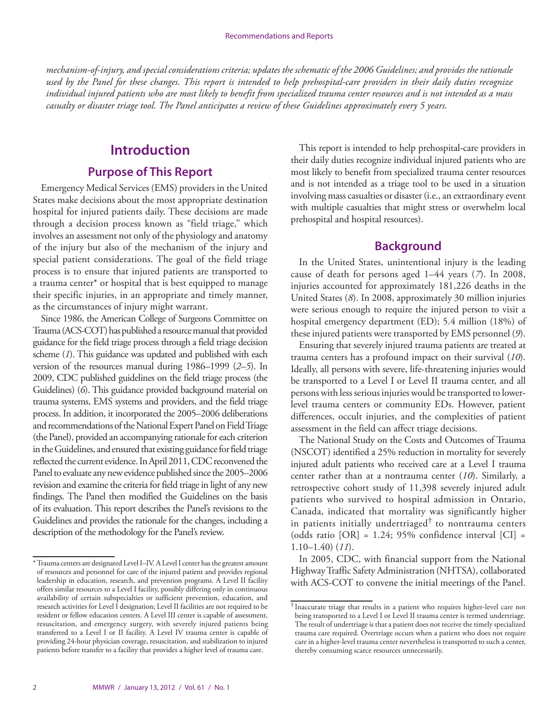<span id="page-3-0"></span>*mechanism-of-injury, and special considerations criteria; updates the schematic of the 2006 Guidelines; and provides the rationale used by the Panel for these changes. This report is intended to help prehospital-care providers in their daily duties recognize individual injured patients who are most likely to benefit from specialized trauma center resources and is not intended as a mass casualty or disaster triage tool. The Panel anticipates a review of these Guidelines approximately every 5 years.* 

# **Introduction**

# **Purpose of This Report**

Emergency Medical Services (EMS) providers in the United States make decisions about the most appropriate destination hospital for injured patients daily. These decisions are made through a decision process known as "field triage," which involves an assessment not only of the physiology and anatomy of the injury but also of the mechanism of the injury and special patient considerations. The goal of the field triage process is to ensure that injured patients are transported to a trauma center\* or hospital that is best equipped to manage their specific injuries, in an appropriate and timely manner, as the circumstances of injury might warrant.

Since 1986, the American College of Surgeons Committee on Trauma (ACS-COT) has published a resource manual that provided guidance for the field triage process through a field triage decision scheme (*1*). This guidance was updated and published with each version of the resources manual during 1986–1999 (*2–5*). In 2009, CDC published guidelines on the field triage process (the Guidelines) (*6*). This guidance provided background material on trauma systems, EMS systems and providers, and the field triage process. In addition, it incorporated the 2005–2006 deliberations and recommendations of the National Expert Panel on Field Triage (the Panel), provided an accompanying rationale for each criterion in the Guidelines, and ensured that existing guidance for field triage reflected the current evidence. In April 2011, CDC reconvened the Panel to evaluate any new evidence published since the 2005–2006 revision and examine the criteria for field triage in light of any new findings. The Panel then modified the Guidelines on the basis of its evaluation. This report describes the Panel's revisions to the Guidelines and provides the rationale for the changes, including a description of the methodology for the Panel's review.

This report is intended to help prehospital-care providers in their daily duties recognize individual injured patients who are most likely to benefit from specialized trauma center resources and is not intended as a triage tool to be used in a situation involving mass casualties or disaster (i.e., an extraordinary event with multiple casualties that might stress or overwhelm local prehospital and hospital resources).

## **Background**

In the United States, unintentional injury is the leading cause of death for persons aged 1–44 years (*7*). In 2008, injuries accounted for approximately 181,226 deaths in the United States (*8*). In 2008, approximately 30 million injuries were serious enough to require the injured person to visit a hospital emergency department (ED); 5.4 million (18%) of these injured patients were transported by EMS personnel (*9*).

Ensuring that severely injured trauma patients are treated at trauma centers has a profound impact on their survival (*10*). Ideally, all persons with severe, life-threatening injuries would be transported to a Level I or Level II trauma center, and all persons with less serious injuries would be transported to lowerlevel trauma centers or community EDs. However, patient differences, occult injuries, and the complexities of patient assessment in the field can affect triage decisions.

The National Study on the Costs and Outcomes of Trauma (NSCOT) identified a 25% reduction in mortality for severely injured adult patients who received care at a Level I trauma center rather than at a nontrauma center (*10*). Similarly, a retrospective cohort study of 11,398 severely injured adult patients who survived to hospital admission in Ontario, Canada, indicated that mortality was significantly higher in patients initially undertriaged $\dagger$  to nontrauma centers (odds ratio [OR] = 1.24; 95% confidence interval [CI] = 1.10–1.40) (*11*).

In 2005, CDC, with financial support from the National Highway Traffic Safety Administration (NHTSA), collaborated with ACS-COT to convene the initial meetings of the Panel.

<sup>\*</sup>Trauma centers are designated Level I–IV. A Level I center has the greatest amount of resources and personnel for care of the injured patient and provides regional leadership in education, research, and prevention programs. A Level II facility offers similar resources to a Level I facility, possibly differing only in continuous availability of certain subspecialties or sufficient prevention, education, and research activities for Level I designation; Level II facilities are not required to be resident or fellow education centers. A Level III center is capable of assessment, resuscitation, and emergency surgery, with severely injured patients being transferred to a Level I or II facility. A Level IV trauma center is capable of providing 24-hour physician coverage, resuscitation, and stabilization to injured patients before transfer to a facility that provides a higher level of trauma care.

<sup>†</sup> Inaccurate triage that results in a patient who requires higher-level care not being transported to a Level I or Level II trauma center is termed undertriage. The result of undertriage is that a patient does not receive the timely specialized trauma care required. Overtriage occurs when a patient who does not require care in a higher-level trauma center nevertheless is transported to such a center, thereby consuming scarce resources unnecessarily.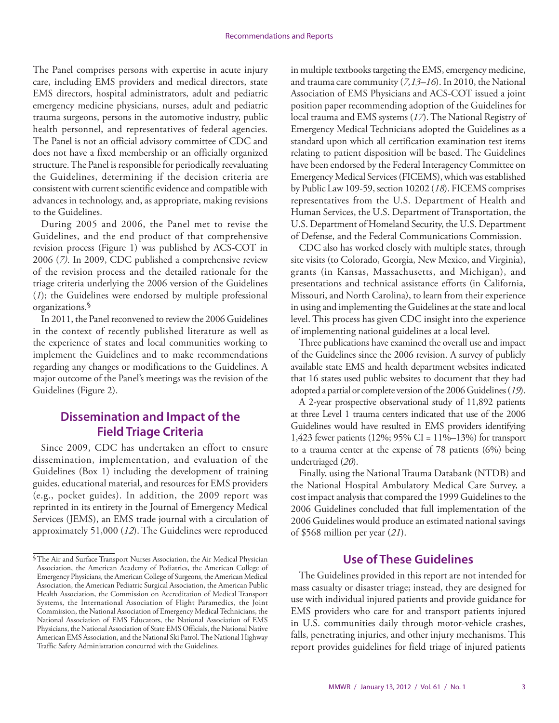The Panel comprises persons with expertise in acute injury care, including EMS providers and medical directors, state EMS directors, hospital administrators, adult and pediatric emergency medicine physicians, nurses, adult and pediatric trauma surgeons, persons in the automotive industry, public health personnel, and representatives of federal agencies. The Panel is not an official advisory committee of CDC and does not have a fixed membership or an officially organized structure. The Panel is responsible for periodically reevaluating the Guidelines, determining if the decision criteria are consistent with current scientific evidence and compatible with advances in technology, and, as appropriate, making revisions to the Guidelines.

During 2005 and 2006, the Panel met to revise the Guidelines, and the end product of that comprehensive revision process (Figure 1) was published by ACS-COT in 2006 (*7)*. In 2009, CDC published a comprehensive review of the revision process and the detailed rationale for the triage criteria underlying the 2006 version of the Guidelines (*1*); the Guidelines were endorsed by multiple professional organizations.§

In 2011, the Panel reconvened to review the 2006 Guidelines in the context of recently published literature as well as the experience of states and local communities working to implement the Guidelines and to make recommendations regarding any changes or modifications to the Guidelines. A major outcome of the Panel's meetings was the revision of the Guidelines (Figure 2).

# **Dissemination and Impact of the Field Triage Criteria**

Since 2009, CDC has undertaken an effort to ensure dissemination, implementation, and evaluation of the Guidelines (Box 1) including the development of training guides, educational material, and resources for EMS providers (e.g., pocket guides). In addition, the 2009 report was reprinted in its entirety in the Journal of Emergency Medical Services (JEMS), an EMS trade journal with a circulation of approximately 51,000 (*12*). The Guidelines were reproduced

in multiple textbooks targeting the EMS, emergency medicine, and trauma care community (*7,13–16*). In 2010, the National Association of EMS Physicians and ACS-COT issued a joint position paper recommending adoption of the Guidelines for local trauma and EMS systems (*17*). The National Registry of Emergency Medical Technicians adopted the Guidelines as a standard upon which all certification examination test items relating to patient disposition will be based. The Guidelines have been endorsed by the Federal Interagency Committee on Emergency Medical Services (FICEMS), which was established by Public Law 109-59, section 10202 (*18*). FICEMS comprises representatives from the U.S. Department of Health and Human Services, the U.S. Department of Transportation, the U.S. Department of Homeland Security, the U.S. Department of Defense, and the Federal Communications Commission.

CDC also has worked closely with multiple states, through site visits (to Colorado, Georgia, New Mexico, and Virginia), grants (in Kansas, Massachusetts, and Michigan), and presentations and technical assistance efforts (in California, Missouri, and North Carolina), to learn from their experience in using and implementing the Guidelines at the state and local level. This process has given CDC insight into the experience of implementing national guidelines at a local level.

Three publications have examined the overall use and impact of the Guidelines since the 2006 revision. A survey of publicly available state EMS and health department websites indicated that 16 states used public websites to document that they had adopted a partial or complete version of the 2006 Guidelines (*19*).

A 2-year prospective observational study of 11,892 patients at three Level 1 trauma centers indicated that use of the 2006 Guidelines would have resulted in EMS providers identifying 1,423 fewer patients (12%; 95% CI = 11%–13%) for transport to a trauma center at the expense of 78 patients (6%) being undertriaged (*20*).

Finally, using the National Trauma Databank (NTDB) and the National Hospital Ambulatory Medical Care Survey, a cost impact analysis that compared the 1999 Guidelines to the 2006 Guidelines concluded that full implementation of the 2006 Guidelines would produce an estimated national savings of \$568 million per year (*21*).

## **Use of These Guidelines**

The Guidelines provided in this report are not intended for mass casualty or disaster triage; instead, they are designed for use with individual injured patients and provide guidance for EMS providers who care for and transport patients injured in U.S. communities daily through motor-vehicle crashes, falls, penetrating injuries, and other injury mechanisms. This report provides guidelines for field triage of injured patients

<sup>§</sup>The Air and Surface Transport Nurses Association, the Air Medical Physician Association, the American Academy of Pediatrics, the American College of Emergency Physicians, the American College of Surgeons, the American Medical Association, the American Pediatric Surgical Association, the American Public Health Association, the Commission on Accreditation of Medical Transport Systems, the International Association of Flight Paramedics, the Joint Commission, the National Association of Emergency Medical Technicians, the National Association of EMS Educators, the National Association of EMS Physicians, the National Association of State EMS Officials, the National Native American EMS Association, and the National Ski Patrol. The National Highway Traffic Safety Administration concurred with the Guidelines.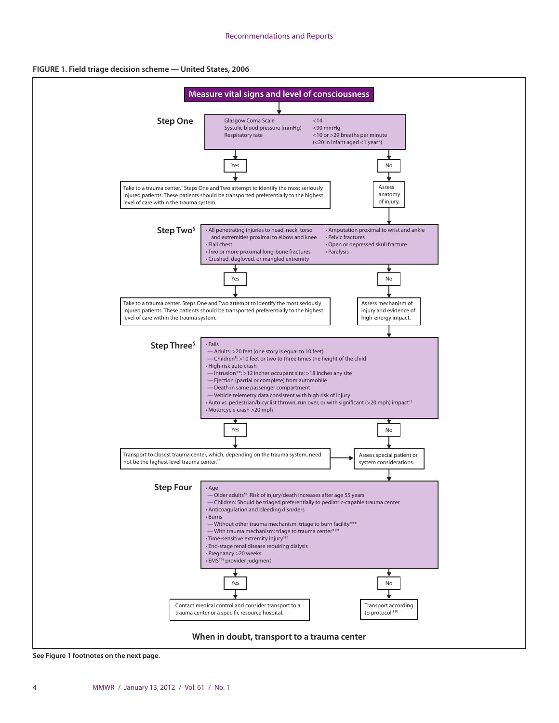#### **FIGURE 1. Field triage decision scheme — United States, 2006**



**See Figure 1 footnotes on the next page.**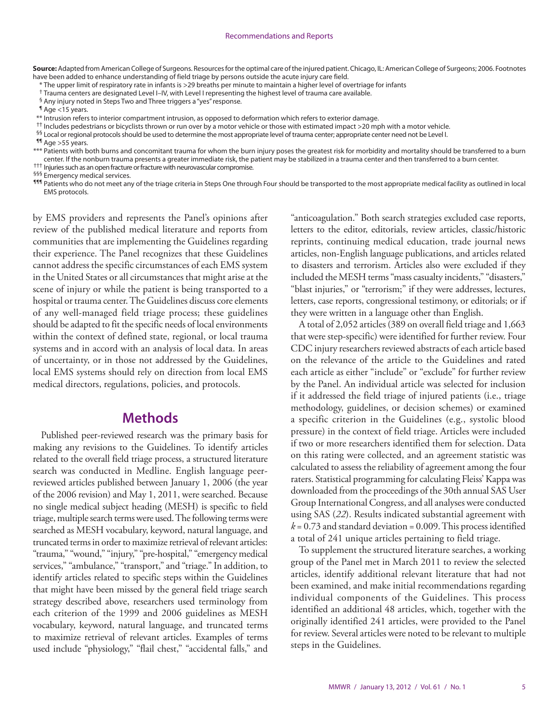<span id="page-6-0"></span>**Source:** Adapted from American College of Surgeons. Resources for the optimal care of the injured patient. Chicago, IL: American College of Surgeons; 2006. Footnotes have been added to enhance understanding of field triage by persons outside the acute injury care field.

- \* The upper limit of respiratory rate in infants is >29 breaths per minute to maintain a higher level of overtriage for infants
- † Trauma centers are designated Level I–IV, with Level I representing the highest level of trauma care available.
- § Any injury noted in Steps Two and Three triggers a "yes" response.

¶ Age <15 years.

- \*\* Intrusion refers to interior compartment intrusion, as opposed to deformation which refers to exterior damage.
- †† Includes pedestrians or bicyclists thrown or run over by a motor vehicle or those with estimated impact >20 mph with a motor vehicle.
- §§ Local or regional protocols should be used to determine the most appropriate level of trauma center; appropriate center need not be Level I.
- $\P$ <sup>1</sup> Age > 55 years.
- \*\*\* Patients with both burns and concomitant trauma for whom the burn injury poses the greatest risk for morbidity and mortality should be transferred to a burn center. If the nonburn trauma presents a greater immediate risk, the patient may be stabilized in a trauma center and then transferred to a burn center.
- ††† Injuries such as an open fracture or fracture with neurovascular compromise.
- §§§ Emergency medical services.
- **111** Patients who do not meet any of the triage criteria in Steps One through Four should be transported to the most appropriate medical facility as outlined in local EMS protocols.

by EMS providers and represents the Panel's opinions after review of the published medical literature and reports from communities that are implementing the Guidelines regarding their experience. The Panel recognizes that these Guidelines cannot address the specific circumstances of each EMS system in the United States or all circumstances that might arise at the scene of injury or while the patient is being transported to a hospital or trauma center. The Guidelines discuss core elements of any well-managed field triage process; these guidelines should be adapted to fit the specific needs of local environments within the context of defined state, regional, or local trauma systems and in accord with an analysis of local data. In areas of uncertainty, or in those not addressed by the Guidelines, local EMS systems should rely on direction from local EMS medical directors, regulations, policies, and protocols.

# **Methods**

Published peer-reviewed research was the primary basis for making any revisions to the Guidelines. To identify articles related to the overall field triage process, a structured literature search was conducted in Medline. English language peerreviewed articles published between January 1, 2006 (the year of the 2006 revision) and May 1, 2011, were searched. Because no single medical subject heading (MESH) is specific to field triage, multiple search terms were used. The following terms were searched as MESH vocabulary, keyword, natural language, and truncated terms in order to maximize retrieval of relevant articles: "trauma," "wound," "injury," "pre-hospital," "emergency medical services," "ambulance," "transport," and "triage." In addition, to identify articles related to specific steps within the Guidelines that might have been missed by the general field triage search strategy described above, researchers used terminology from each criterion of the 1999 and 2006 guidelines as MESH vocabulary, keyword, natural language, and truncated terms to maximize retrieval of relevant articles. Examples of terms used include "physiology," "flail chest," "accidental falls," and

"anticoagulation." Both search strategies excluded case reports, letters to the editor, editorials, review articles, classic/historic reprints, continuing medical education, trade journal news articles, non-English language publications, and articles related to disasters and terrorism. Articles also were excluded if they included the MESH terms "mass casualty incidents," "disasters," "blast injuries," or "terrorism;" if they were addresses, lectures, letters, case reports, congressional testimony, or editorials; or if they were written in a language other than English.

A total of 2,052 articles (389 on overall field triage and 1,663 that were step-specific) were identified for further review. Four CDC injury researchers reviewed abstracts of each article based on the relevance of the article to the Guidelines and rated each article as either "include" or "exclude" for further review by the Panel. An individual article was selected for inclusion if it addressed the field triage of injured patients (i.e., triage methodology, guidelines, or decision schemes) or examined a specific criterion in the Guidelines (e.g., systolic blood pressure) in the context of field triage. Articles were included if two or more researchers identified them for selection. Data on this rating were collected, and an agreement statistic was calculated to assess the reliability of agreement among the four raters. Statistical programming for calculating Fleiss' Kappa was downloaded from the proceedings of the 30th annual SAS User Group International Congress, and all analyses were conducted using SAS (*22*). Results indicated substantial agreement with  $k = 0.73$  and standard deviation = 0.009. This process identified a total of 241 unique articles pertaining to field triage.

To supplement the structured literature searches, a working group of the Panel met in March 2011 to review the selected articles, identify additional relevant literature that had not been examined, and make initial recommendations regarding individual components of the Guidelines. This process identified an additional 48 articles, which, together with the originally identified 241 articles, were provided to the Panel for review. Several articles were noted to be relevant to multiple steps in the Guidelines.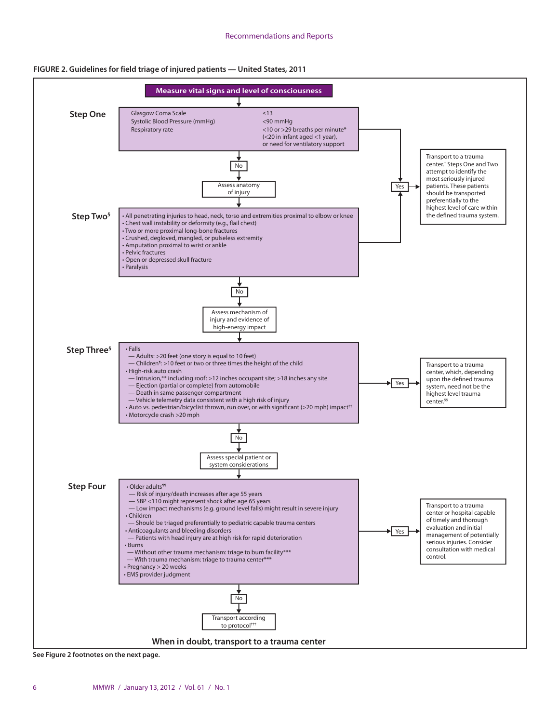



**See Figure 2 footnotes on the next page.**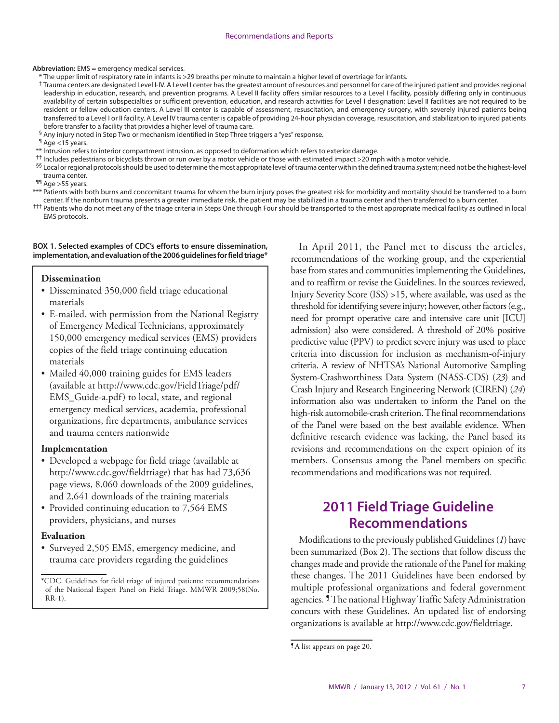<span id="page-8-0"></span>**Abbreviation:** EMS = emergency medical services.

- The upper limit of respiratory rate in infants is >29 breaths per minute to maintain a higher level of overtriage for infants.
- † Trauma centers are designated Level I-IV. A Level I center has the greatest amount of resources and personnel for care of the injured patient and provides regional leadership in education, research, and prevention programs. A Level II facility offers similar resources to a Level I facility, possibly differing only in continuous availability of certain subspecialties or sufficient prevention, education, and research activities for Level I designation; Level II facilities are not required to be resident or fellow education centers. A Level III center is capable of assessment, resuscitation, and emergency surgery, with severely injured patients being transferred to a Level I or II facility. A Level IV trauma center is capable of providing 24-hour physician coverage, resuscitation, and stabilization to injured patients before transfer to a facility that provides a higher level of trauma care.
- § Any injury noted in Step Two or mechanism identified in Step Three triggers a "yes" response.
- $<sub>15</sub>$  years.</sub>
- \*\* Intrusion refers to interior compartment intrusion, as opposed to deformation which refers to exterior damage.
- †† Includes pedestrians or bicyclists thrown or run over by a motor vehicle or those with estimated impact >20 mph with a motor vehicle.
- <sup>§§</sup> Local or regional protocols should be used to determine the most appropriate level of trauma center within the defined trauma system; need not be the highest-level trauma center.
- ¶¶ Age >55 years.
- \*\*\* Patients with both burns and concomitant trauma for whom the burn injury poses the greatest risk for morbidity and mortality should be transferred to a burn center. If the nonburn trauma presents a greater immediate risk, the patient may be stabilized in a trauma center and then transferred to a burn center.
- ††† Patients who do not meet any of the triage criteria in Steps One through Four should be transported to the most appropriate medical facility as outlined in local EMS protocols.

#### **BOX 1. Selected examples of CDC's efforts to ensure dissemination, implementation, and evaluation of the 2006 guidelines for field triage\***

#### **Dissemination**

- Disseminated 350,000 field triage educational materials
- • E-mailed, with permission from the National Registry of Emergency Medical Technicians, approximately 150,000 emergency medical services (EMS) providers copies of the field triage continuing education materials
- Mailed 40,000 training guides for EMS leaders (available at http://www.cdc.gov/FieldTriage/pdf/ EMS\_Guide-a.pdf) to local, state, and regional emergency medical services, academia, professional organizations, fire departments, ambulance services and trauma centers nationwide

#### **Implementation**

- Developed a webpage for field triage (available at http://www.cdc.gov/fieldtriage) that has had 73,636 page views, 8,060 downloads of the 2009 guidelines, and 2,641 downloads of the training materials
- Provided continuing education to 7,564 EMS providers, physicians, and nurses

#### **Evaluation**

• Surveyed 2,505 EMS, emergency medicine, and trauma care providers regarding the guidelines

In April 2011, the Panel met to discuss the articles, recommendations of the working group, and the experiential base from states and communities implementing the Guidelines, and to reaffirm or revise the Guidelines. In the sources reviewed, Injury Severity Score (ISS) >15, where available, was used as the threshold for identifying severe injury; however, other factors (e.g., need for prompt operative care and intensive care unit [ICU] admission) also were considered. A threshold of 20% positive predictive value (PPV) to predict severe injury was used to place criteria into discussion for inclusion as mechanism-of-injury criteria. A review of NHTSA's National Automotive Sampling System-Crashworthiness Data System (NASS-CDS) (*23*) and Crash Injury and Research Engineering Network (CIREN) (*24*) information also was undertaken to inform the Panel on the high-risk automobile-crash criterion. The final recommendations of the Panel were based on the best available evidence. When definitive research evidence was lacking, the Panel based its revisions and recommendations on the expert opinion of its members. Consensus among the Panel members on specific recommendations and modifications was not required.

# **2011 Field Triage Guideline Recommendations**

Modifications to the previously published Guidelines (*1*) have been summarized (Box 2). The sections that follow discuss the changes made and provide the rationale of the Panel for making these changes. The 2011 Guidelines have been endorsed by multiple professional organizations and federal government agencies. ¶ The national Highway Traffic Safety Administration concurs with these Guidelines. An updated list of endorsing organizations is available at http://www.cdc.gov/fieldtriage.

<sup>\*</sup>CDC. Guidelines for field triage of injured patients: recommendations of the National Expert Panel on Field Triage. MMWR 2009;58(No. RR-1).

<sup>¶</sup>A list appears on page 20.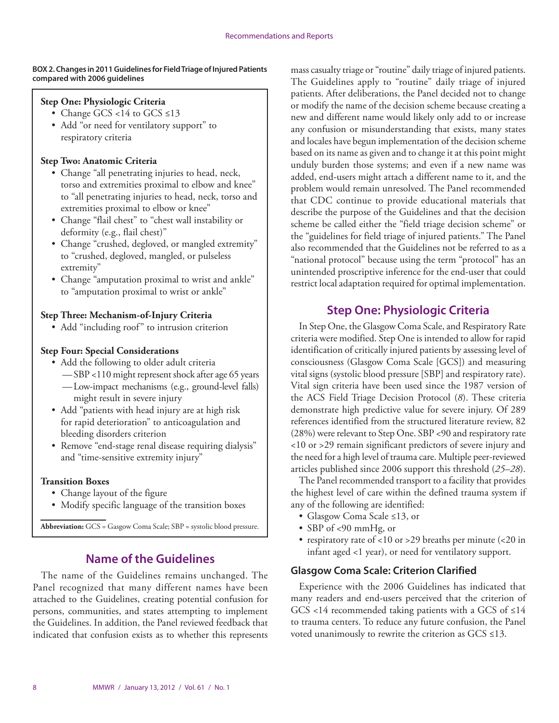#### **BOX 2. Changes in 2011 Guidelines for Field Triage of Injured Patients compared with 2006 guidelines**

#### **Step One: Physiologic Criteria**

- Change GCS <14 to GCS  $\leq$ 13
- Add "or need for ventilatory support" to respiratory criteria

#### **Step Two: Anatomic Criteria**

- • Change "all penetrating injuries to head, neck, torso and extremities proximal to elbow and knee" to "all penetrating injuries to head, neck, torso and extremities proximal to elbow or knee"
- • Change "flail chest" to "chest wall instability or deformity (e.g., flail chest)"
- Change "crushed, degloved, or mangled extremity" to "crushed, degloved, mangled, or pulseless extremity"
- Change "amputation proximal to wrist and ankle" to "amputation proximal to wrist or ankle"

#### **Step Three: Mechanism-of-Injury Criteria**

• Add "including roof" to intrusion criterion

#### **Step Four: Special Considerations**

- Add the following to older adult criteria
	- —SBP <110 might represent shock after age 65 years
	- —Low-impact mechanisms (e.g., ground-level falls) might result in severe injury
- Add "patients with head injury are at high risk for rapid deterioration" to anticoagulation and bleeding disorders criterion
- Remove "end-stage renal disease requiring dialysis" and "time-sensitive extremity injury"

#### **Transition Boxes**

- Change layout of the figure
- Modify specific language of the transition boxes

**Abbreviation:** GCS = Gasgow Coma Scale; SBP = systolic blood pressure.

# **Name of the Guidelines**

The name of the Guidelines remains unchanged. The Panel recognized that many different names have been attached to the Guidelines, creating potential confusion for persons, communities, and states attempting to implement the Guidelines. In addition, the Panel reviewed feedback that indicated that confusion exists as to whether this represents mass casualty triage or "routine" daily triage of injured patients. The Guidelines apply to "routine" daily triage of injured patients. After deliberations, the Panel decided not to change or modify the name of the decision scheme because creating a new and different name would likely only add to or increase any confusion or misunderstanding that exists, many states and locales have begun implementation of the decision scheme based on its name as given and to change it at this point might unduly burden those systems; and even if a new name was added, end-users might attach a different name to it, and the problem would remain unresolved. The Panel recommended that CDC continue to provide educational materials that describe the purpose of the Guidelines and that the decision scheme be called either the "field triage decision scheme" or the "guidelines for field triage of injured patients." The Panel also recommended that the Guidelines not be referred to as a "national protocol" because using the term "protocol" has an unintended proscriptive inference for the end-user that could restrict local adaptation required for optimal implementation.

# **Step One: Physiologic Criteria**

In Step One, the Glasgow Coma Scale, and Respiratory Rate criteria were modified. Step One is intended to allow for rapid identification of critically injured patients by assessing level of consciousness (Glasgow Coma Scale [GCS]) and measuring vital signs (systolic blood pressure [SBP] and respiratory rate). Vital sign criteria have been used since the 1987 version of the ACS Field Triage Decision Protocol (*8*). These criteria demonstrate high predictive value for severe injury. Of 289 references identified from the structured literature review, 82 (28%) were relevant to Step One. SBP <90 and respiratory rate <10 or >29 remain significant predictors of severe injury and the need for a high level of trauma care. Multiple peer-reviewed articles published since 2006 support this threshold (*25–28*).

The Panel recommended transport to a facility that provides the highest level of care within the defined trauma system if any of the following are identified:

- • Glasgow Coma Scale ≤13, or
- SBP of <90 mmHg, or
- respiratory rate of <10 or >29 breaths per minute (<20 in infant aged <1 year), or need for ventilatory support.

# **Glasgow Coma Scale: Criterion Clarified**

Experience with the 2006 Guidelines has indicated that many readers and end-users perceived that the criterion of GCS <14 recommended taking patients with a GCS of  $\leq$ 14 to trauma centers. To reduce any future confusion, the Panel voted unanimously to rewrite the criterion as GCS ≤13.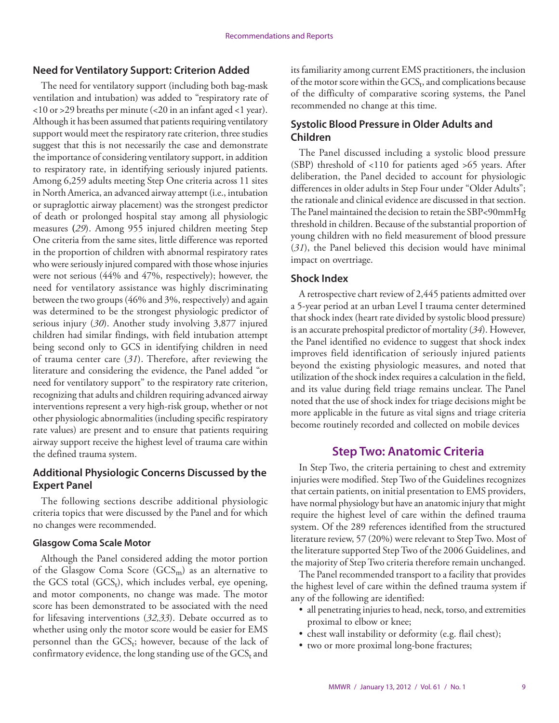# **Need for Ventilatory Support: Criterion Added**

The need for ventilatory support (including both bag-mask ventilation and intubation) was added to "respiratory rate of <10 or >29 breaths per minute (<20 in an infant aged <1 year). Although it has been assumed that patients requiring ventilatory support would meet the respiratory rate criterion, three studies suggest that this is not necessarily the case and demonstrate the importance of considering ventilatory support, in addition to respiratory rate, in identifying seriously injured patients. Among 6,259 adults meeting Step One criteria across 11 sites in North America, an advanced airway attempt (i.e., intubation or supraglottic airway placement) was the strongest predictor of death or prolonged hospital stay among all physiologic measures **(***29*). Among 955 injured children meeting Step One criteria from the same sites, little difference was reported in the proportion of children with abnormal respiratory rates who were seriously injured compared with those whose injuries were not serious (44% and 47%, respectively); however, the need for ventilatory assistance was highly discriminating between the two groups (46% and 3%, respectively) and again was determined to be the strongest physiologic predictor of serious injury (*30*). Another study involving 3,877 injured children had similar findings, with field intubation attempt being second only to GCS in identifying children in need of trauma center care (*31*). Therefore, after reviewing the literature and considering the evidence, the Panel added "or need for ventilatory support" to the respiratory rate criterion, recognizing that adults and children requiring advanced airway interventions represent a very high-risk group, whether or not other physiologic abnormalities (including specific respiratory rate values) are present and to ensure that patients requiring airway support receive the highest level of trauma care within the defined trauma system.

# **Additional Physiologic Concerns Discussed by the Expert Panel**

The following sections describe additional physiologic criteria topics that were discussed by the Panel and for which no changes were recommended.

#### **Glasgow Coma Scale Motor**

Although the Panel considered adding the motor portion of the Glasgow Coma Score  $(GCS_m)$  as an alternative to the GCS total  $(GCS_t)$ , which includes verbal, eye opening, and motor components, no change was made. The motor score has been demonstrated to be associated with the need for lifesaving interventions (*32,33*). Debate occurred as to whether using only the motor score would be easier for EMS personnel than the  $GCS_t$ ; however, because of the lack of confirmatory evidence, the long standing use of the  $GCS<sub>t</sub>$  and

its familiarity among current EMS practitioners, the inclusion of the motor score within the  $GCS_t$ , and complications because of the difficulty of comparative scoring systems, the Panel recommended no change at this time.

# **Systolic Blood Pressure in Older Adults and Children**

The Panel discussed including a systolic blood pressure (SBP) threshold of <110 for patients aged >65 years. After deliberation, the Panel decided to account for physiologic differences in older adults in Step Four under "Older Adults"; the rationale and clinical evidence are discussed in that section. The Panel maintained the decision to retain the SBP<90mmHg threshold in children. Because of the substantial proportion of young children with no field measurement of blood pressure (*31*), the Panel believed this decision would have minimal impact on overtriage.

## **Shock Index**

A retrospective chart review of 2,445 patients admitted over a 5-year period at an urban Level I trauma center determined that shock index (heart rate divided by systolic blood pressure) is an accurate prehospital predictor of mortality (*34*). However, the Panel identified no evidence to suggest that shock index improves field identification of seriously injured patients beyond the existing physiologic measures, and noted that utilization of the shock index requires a calculation in the field, and its value during field triage remains unclear. The Panel noted that the use of shock index for triage decisions might be more applicable in the future as vital signs and triage criteria become routinely recorded and collected on mobile devices

# **Step Two: Anatomic Criteria**

In Step Two, the criteria pertaining to chest and extremity injuries were modified. Step Two of the Guidelines recognizes that certain patients, on initial presentation to EMS providers, have normal physiology but have an anatomic injury that might require the highest level of care within the defined trauma system. Of the 289 references identified from the structured literature review, 57 (20%) were relevant to Step Two. Most of the literature supported Step Two of the 2006 Guidelines, and the majority of Step Two criteria therefore remain unchanged.

The Panel recommended transport to a facility that provides the highest level of care within the defined trauma system if any of the following are identified:

- all penetrating injuries to head, neck, torso, and extremities proximal to elbow or knee;
- chest wall instability or deformity (e.g. flail chest);
- two or more proximal long-bone fractures;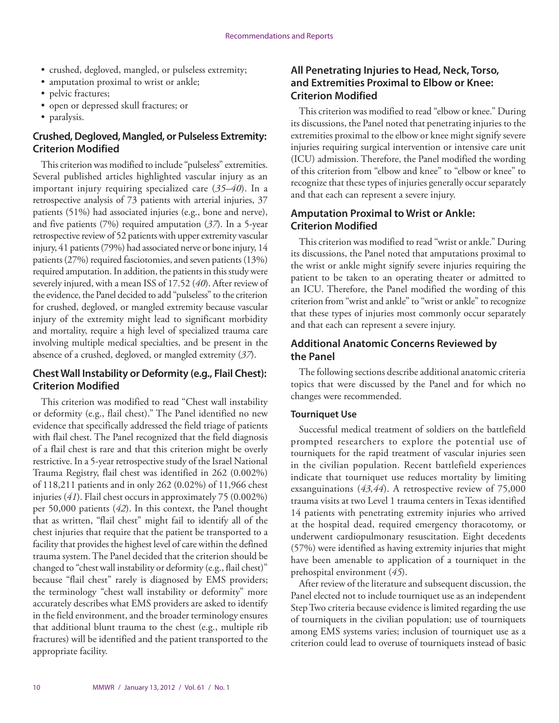- • crushed, degloved, mangled, or pulseless extremity;
- amputation proximal to wrist or ankle;
- pelvic fractures;
- • open or depressed skull fractures; or
- paralysis.

# **Crushed, Degloved, Mangled, or Pulseless Extremity: Criterion Modified**

This criterion was modified to include "pulseless" extremities. Several published articles highlighted vascular injury as an important injury requiring specialized care (*35–40*). In a retrospective analysis of 73 patients with arterial injuries, 37 patients (51%) had associated injuries (e.g., bone and nerve), and five patients (7%) required amputation (*37*). In a 5-year retrospective review of 52 patients with upper extremity vascular injury, 41 patients (79%) had associated nerve or bone injury, 14 patients (27%) required fasciotomies, and seven patients (13%) required amputation. In addition, the patients in this study were severely injured, with a mean ISS of 17.52 (*40*). After review of the evidence, the Panel decided to add "pulseless" to the criterion for crushed, degloved, or mangled extremity because vascular injury of the extremity might lead to significant morbidity and mortality, require a high level of specialized trauma care involving multiple medical specialties, and be present in the absence of a crushed, degloved, or mangled extremity (*37*).

# **Chest Wall Instability or Deformity (e.g., Flail Chest): Criterion Modified**

This criterion was modified to read "Chest wall instability or deformity (e.g., flail chest)." The Panel identified no new evidence that specifically addressed the field triage of patients with flail chest. The Panel recognized that the field diagnosis of a flail chest is rare and that this criterion might be overly restrictive. In a 5-year retrospective study of the Israel National Trauma Registry, flail chest was identified in 262 (0.002%) of 118,211 patients and in only 262 (0.02%) of 11,966 chest injuries (*41*). Flail chest occurs in approximately 75 (0.002%) per 50,000 patients (*42*). In this context, the Panel thought that as written, "flail chest" might fail to identify all of the chest injuries that require that the patient be transported to a facility that provides the highest level of care within the defined trauma system. The Panel decided that the criterion should be changed to "chest wall instability or deformity (e.g., flail chest)" because "flail chest" rarely is diagnosed by EMS providers; the terminology "chest wall instability or deformity" more accurately describes what EMS providers are asked to identify in the field environment, and the broader terminology ensures that additional blunt trauma to the chest (e.g., multiple rib fractures) will be identified and the patient transported to the appropriate facility.

# **All Penetrating Injuries to Head, Neck, Torso, and Extremities Proximal to Elbow or Knee: Criterion Modified**

This criterion was modified to read "elbow or knee." During its discussions, the Panel noted that penetrating injuries to the extremities proximal to the elbow or knee might signify severe injuries requiring surgical intervention or intensive care unit (ICU) admission. Therefore, the Panel modified the wording of this criterion from "elbow and knee" to "elbow or knee" to recognize that these types of injuries generally occur separately and that each can represent a severe injury.

# **Amputation Proximal to Wrist or Ankle: Criterion Modified**

This criterion was modified to read "wrist or ankle." During its discussions, the Panel noted that amputations proximal to the wrist or ankle might signify severe injuries requiring the patient to be taken to an operating theater or admitted to an ICU. Therefore, the Panel modified the wording of this criterion from "wrist and ankle" to "wrist or ankle" to recognize that these types of injuries most commonly occur separately and that each can represent a severe injury.

# **Additional Anatomic Concerns Reviewed by the Panel**

The following sections describe additional anatomic criteria topics that were discussed by the Panel and for which no changes were recommended.

#### **Tourniquet Use**

Successful medical treatment of soldiers on the battlefield prompted researchers to explore the potential use of tourniquets for the rapid treatment of vascular injuries seen in the civilian population. Recent battlefield experiences indicate that tourniquet use reduces mortality by limiting exsanguinations (*43,44*). A retrospective review of 75,000 trauma visits at two Level 1 trauma centers in Texas identified 14 patients with penetrating extremity injuries who arrived at the hospital dead, required emergency thoracotomy, or underwent cardiopulmonary resuscitation. Eight decedents (57%) were identified as having extremity injuries that might have been amenable to application of a tourniquet in the prehospital environment (*45*).

After review of the literature and subsequent discussion, the Panel elected not to include tourniquet use as an independent Step Two criteria because evidence is limited regarding the use of tourniquets in the civilian population; use of tourniquets among EMS systems varies; inclusion of tourniquet use as a criterion could lead to overuse of tourniquets instead of basic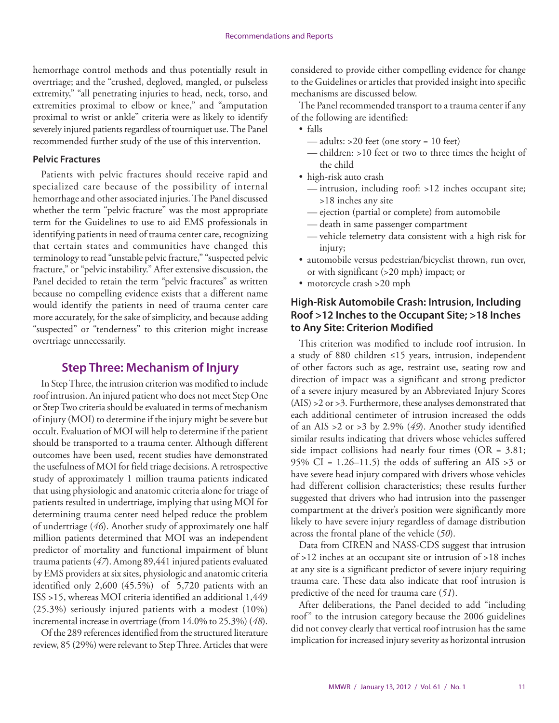hemorrhage control methods and thus potentially result in overtriage; and the "crushed, degloved, mangled, or pulseless extremity," "all penetrating injuries to head, neck, torso, and extremities proximal to elbow or knee," and "amputation proximal to wrist or ankle" criteria were as likely to identify severely injured patients regardless of tourniquet use. The Panel recommended further study of the use of this intervention.

#### **Pelvic Fractures**

Patients with pelvic fractures should receive rapid and specialized care because of the possibility of internal hemorrhage and other associated injuries. The Panel discussed whether the term "pelvic fracture" was the most appropriate term for the Guidelines to use to aid EMS professionals in identifying patients in need of trauma center care, recognizing that certain states and communities have changed this terminology to read "unstable pelvic fracture," "suspected pelvic fracture," or "pelvic instability." After extensive discussion, the Panel decided to retain the term "pelvic fractures" as written because no compelling evidence exists that a different name would identify the patients in need of trauma center care more accurately, for the sake of simplicity, and because adding "suspected" or "tenderness" to this criterion might increase overtriage unnecessarily.

#### **Step Three: Mechanism of Injury**

In Step Three, the intrusion criterion was modified to include roof intrusion. An injured patient who does not meet Step One or Step Two criteria should be evaluated in terms of mechanism of injury (MOI) to determine if the injury might be severe but occult. Evaluation of MOI will help to determine if the patient should be transported to a trauma center. Although different outcomes have been used, recent studies have demonstrated the usefulness of MOI for field triage decisions. A retrospective study of approximately 1 million trauma patients indicated that using physiologic and anatomic criteria alone for triage of patients resulted in undertriage, implying that using MOI for determining trauma center need helped reduce the problem of undertriage (*46*). Another study of approximately one half million patients determined that MOI was an independent predictor of mortality and functional impairment of blunt trauma patients (*47*). Among 89,441 injured patients evaluated by EMS providers at six sites, physiologic and anatomic criteria identified only 2,600 (45.5%) of 5,720 patients with an ISS >15, whereas MOI criteria identified an additional 1,449 (25.3%) seriously injured patients with a modest (10%) incremental increase in overtriage (from 14.0% to 25.3%) (*48*).

Of the 289 references identified from the structured literature review, 85 (29%) were relevant to Step Three. Articles that were considered to provide either compelling evidence for change to the Guidelines or articles that provided insight into specific mechanisms are discussed below.

The Panel recommended transport to a trauma center if any of the following are identified:

- falls
	- adults: >20 feet (one story = 10 feet)
	- children: >10 feet or two to three times the height of the child
- • high-risk auto crash
	- intrusion, including roof: >12 inches occupant site; >18 inches any site
	- ejection (partial or complete) from automobile
	- death in same passenger compartment
	- vehicle telemetry data consistent with a high risk for injury;
- automobile versus pedestrian/bicyclist thrown, run over, or with significant (>20 mph) impact; or
- motorcycle crash >20 mph

# **High-Risk Automobile Crash: Intrusion, Including Roof >12 Inches to the Occupant Site; >18 Inches to Any Site: Criterion Modified**

This criterion was modified to include roof intrusion. In a study of 880 children ≤15 years, intrusion, independent of other factors such as age, restraint use, seating row and direction of impact was a significant and strong predictor of a severe injury measured by an Abbreviated Injury Scores (AIS) >2 or >3. Furthermore, these analyses demonstrated that each additional centimeter of intrusion increased the odds of an AIS >2 or >3 by 2.9% (*49*). Another study identified similar results indicating that drivers whose vehicles suffered side impact collisions had nearly four times (OR = 3.81; 95% CI =  $1.26-11.5$ ) the odds of suffering an AIS >3 or have severe head injury compared with drivers whose vehicles had different collision characteristics; these results further suggested that drivers who had intrusion into the passenger compartment at the driver's position were significantly more likely to have severe injury regardless of damage distribution across the frontal plane of the vehicle (*50*).

Data from CIREN and NASS-CDS suggest that intrusion of >12 inches at an occupant site or intrusion of >18 inches at any site is a significant predictor of severe injury requiring trauma care. These data also indicate that roof intrusion is predictive of the need for trauma care (*51*).

After deliberations, the Panel decided to add "including roof" to the intrusion category because the 2006 guidelines did not convey clearly that vertical roof intrusion has the same implication for increased injury severity as horizontal intrusion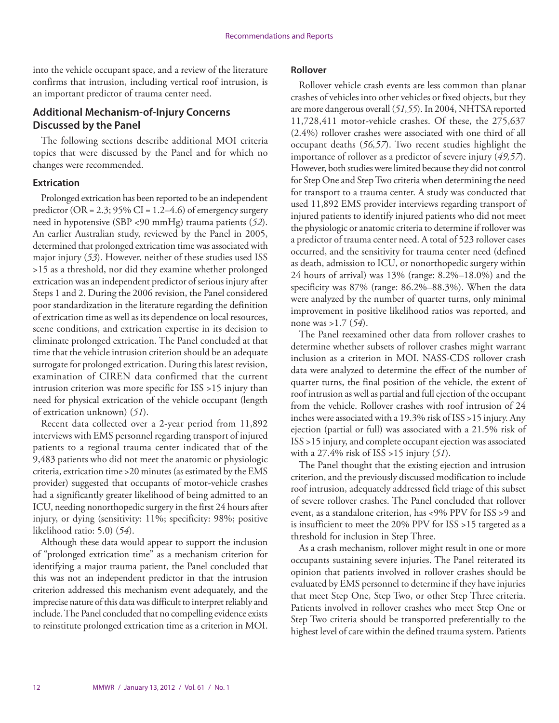into the vehicle occupant space, and a review of the literature confirms that intrusion, including vertical roof intrusion, is an important predictor of trauma center need.

#### **Additional Mechanism-of-Injury Concerns Discussed by the Panel**

The following sections describe additional MOI criteria topics that were discussed by the Panel and for which no changes were recommended.

#### **Extrication**

Prolonged extrication has been reported to be an independent predictor ( $OR = 2.3$ ; 95% CI = 1.2–4.6) of emergency surgery need in hypotensive (SBP <90 mmHg) trauma patients (*52*). An earlier Australian study, reviewed by the Panel in 2005, determined that prolonged extrication time was associated with major injury (*53*). However, neither of these studies used ISS >15 as a threshold, nor did they examine whether prolonged extrication was an independent predictor of serious injury after Steps 1 and 2. During the 2006 revision, the Panel considered poor standardization in the literature regarding the definition of extrication time as well as its dependence on local resources, scene conditions, and extrication expertise in its decision to eliminate prolonged extrication. The Panel concluded at that time that the vehicle intrusion criterion should be an adequate surrogate for prolonged extrication. During this latest revision, examination of CIREN data confirmed that the current intrusion criterion was more specific for ISS >15 injury than need for physical extrication of the vehicle occupant (length of extrication unknown) (*51*).

Recent data collected over a 2-year period from 11,892 interviews with EMS personnel regarding transport of injured patients to a regional trauma center indicated that of the 9,483 patients who did not meet the anatomic or physiologic criteria, extrication time >20 minutes (as estimated by the EMS provider) suggested that occupants of motor-vehicle crashes had a significantly greater likelihood of being admitted to an ICU, needing nonorthopedic surgery in the first 24 hours after injury, or dying (sensitivity: 11%; specificity: 98%; positive likelihood ratio: 5.0) (*54*).

Although these data would appear to support the inclusion of "prolonged extrication time" as a mechanism criterion for identifying a major trauma patient, the Panel concluded that this was not an independent predictor in that the intrusion criterion addressed this mechanism event adequately, and the imprecise nature of this data was difficult to interpret reliably and include. The Panel concluded that no compelling evidence exists to reinstitute prolonged extrication time as a criterion in MOI.

#### **Rollover**

Rollover vehicle crash events are less common than planar crashes of vehicles into other vehicles or fixed objects, but they are more dangerous overall (*51,55*). In 2004, NHTSA reported 11,728,411 motor-vehicle crashes. Of these, the 275,637 (2.4%) rollover crashes were associated with one third of all occupant deaths (*56,57*). Two recent studies highlight the importance of rollover as a predictor of severe injury (*49,57*). However, both studies were limited because they did not control for Step One and Step Two criteria when determining the need for transport to a trauma center. A study was conducted that used 11,892 EMS provider interviews regarding transport of injured patients to identify injured patients who did not meet the physiologic or anatomic criteria to determine if rollover was a predictor of trauma center need. A total of 523 rollover cases occurred, and the sensitivity for trauma center need (defined as death, admission to ICU, or nonorthopedic surgery within 24 hours of arrival) was 13% (range: 8.2%–18.0%) and the specificity was 87% (range: 86.2%–88.3%). When the data were analyzed by the number of quarter turns, only minimal improvement in positive likelihood ratios was reported, and none was >1.7 (*54*).

The Panel reexamined other data from rollover crashes to determine whether subsets of rollover crashes might warrant inclusion as a criterion in MOI. NASS-CDS rollover crash data were analyzed to determine the effect of the number of quarter turns, the final position of the vehicle, the extent of roof intrusion as well as partial and full ejection of the occupant from the vehicle. Rollover crashes with roof intrusion of 24 inches were associated with a 19.3% risk of ISS >15 injury. Any ejection (partial or full) was associated with a 21.5% risk of ISS >15 injury, and complete occupant ejection was associated with a 27.4% risk of ISS >15 injury (*51*).

The Panel thought that the existing ejection and intrusion criterion, and the previously discussed modification to include roof intrusion, adequately addressed field triage of this subset of severe rollover crashes. The Panel concluded that rollover event, as a standalone criterion, has <9% PPV for ISS >9 and is insufficient to meet the 20% PPV for ISS >15 targeted as a threshold for inclusion in Step Three.

As a crash mechanism, rollover might result in one or more occupants sustaining severe injuries. The Panel reiterated its opinion that patients involved in rollover crashes should be evaluated by EMS personnel to determine if they have injuries that meet Step One, Step Two, or other Step Three criteria. Patients involved in rollover crashes who meet Step One or Step Two criteria should be transported preferentially to the highest level of care within the defined trauma system. Patients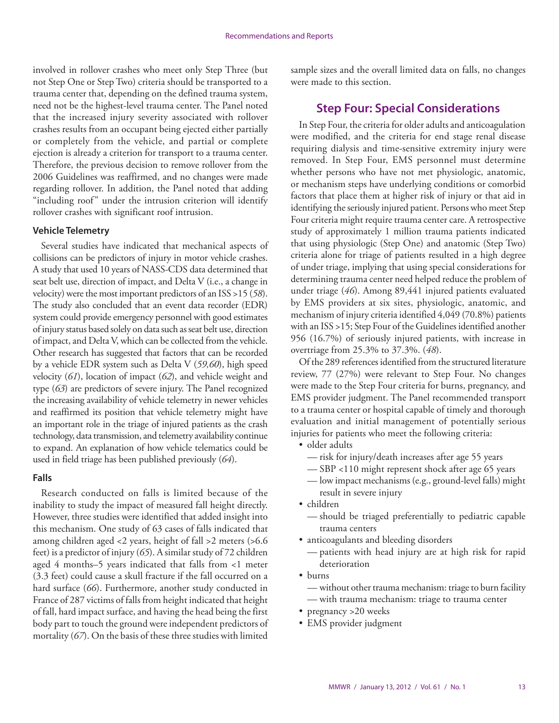involved in rollover crashes who meet only Step Three (but not Step One or Step Two) criteria should be transported to a trauma center that, depending on the defined trauma system, need not be the highest-level trauma center. The Panel noted that the increased injury severity associated with rollover crashes results from an occupant being ejected either partially or completely from the vehicle, and partial or complete ejection is already a criterion for transport to a trauma center. Therefore, the previous decision to remove rollover from the 2006 Guidelines was reaffirmed, and no changes were made regarding rollover. In addition, the Panel noted that adding "including roof" under the intrusion criterion will identify rollover crashes with significant roof intrusion.

#### **Vehicle Telemetry**

Several studies have indicated that mechanical aspects of collisions can be predictors of injury in motor vehicle crashes. A study that used 10 years of NASS-CDS data determined that seat belt use, direction of impact, and Delta V (i.e., a change in velocity) were the most important predictors of an ISS >15 (*58*). The study also concluded that an event data recorder (EDR) system could provide emergency personnel with good estimates of injury status based solely on data such as seat belt use, direction of impact, and Delta V, which can be collected from the vehicle. Other research has suggested that factors that can be recorded by a vehicle EDR system such as Delta V (*59,60*), high speed velocity (*61*), location of impact (*62*), and vehicle weight and type (*63*) are predictors of severe injury. The Panel recognized the increasing availability of vehicle telemetry in newer vehicles and reaffirmed its position that vehicle telemetry might have an important role in the triage of injured patients as the crash technology, data transmission, and telemetry availability continue to expand. An explanation of how vehicle telematics could be used in field triage has been published previously (*64*).

#### **Falls**

Research conducted on falls is limited because of the inability to study the impact of measured fall height directly. However, three studies were identified that added insight into this mechanism. One study of 63 cases of falls indicated that among children aged <2 years, height of fall >2 meters (>6.6 feet) is a predictor of injury (*65*). A similar study of 72 children aged 4 months–5 years indicated that falls from <1 meter (3.3 feet) could cause a skull fracture if the fall occurred on a hard surface (*66*). Furthermore, another study conducted in France of 287 victims of falls from height indicated that height of fall, hard impact surface, and having the head being the first body part to touch the ground were independent predictors of mortality (*67*). On the basis of these three studies with limited

sample sizes and the overall limited data on falls, no changes were made to this section.

# **Step Four: Special Considerations**

In Step Four, the criteria for older adults and anticoagulation were modified, and the criteria for end stage renal disease requiring dialysis and time-sensitive extremity injury were removed. In Step Four, EMS personnel must determine whether persons who have not met physiologic, anatomic, or mechanism steps have underlying conditions or comorbid factors that place them at higher risk of injury or that aid in identifying the seriously injured patient. Persons who meet Step Four criteria might require trauma center care. A retrospective study of approximately 1 million trauma patients indicated that using physiologic (Step One) and anatomic (Step Two) criteria alone for triage of patients resulted in a high degree of under triage, implying that using special considerations for determining trauma center need helped reduce the problem of under triage (*46*). Among 89,441 injured patients evaluated by EMS providers at six sites, physiologic, anatomic, and mechanism of injury criteria identified 4,049 (70.8%) patients with an ISS >15; Step Four of the Guidelines identified another 956 (16.7%) of seriously injured patients, with increase in overtriage from 25.3% to 37.3%. (*48*).

Of the 289 references identified from the structured literature review, 77 (27%) were relevant to Step Four. No changes were made to the Step Four criteria for burns, pregnancy, and EMS provider judgment. The Panel recommended transport to a trauma center or hospital capable of timely and thorough evaluation and initial management of potentially serious injuries for patients who meet the following criteria:

- older adults
	- risk for injury/death increases after age 55 years
	- SBP <110 might represent shock after age 65 years
	- low impact mechanisms (e.g., ground-level falls) might result in severe injury
- children
	- should be triaged preferentially to pediatric capable trauma centers
- anticoagulants and bleeding disorders
	- patients with head injury are at high risk for rapid deterioration
- burns
	- without other trauma mechanism: triage to burn facility
	- with trauma mechanism: triage to trauma center
- pregnancy >20 weeks
- EMS provider judgment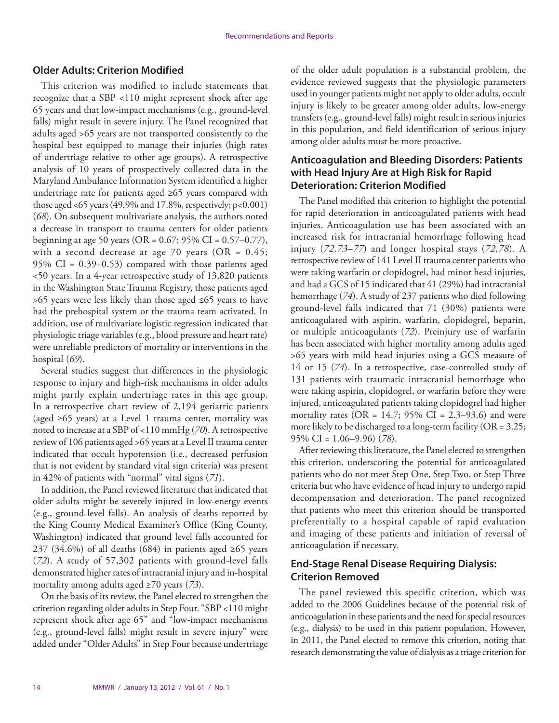# **Older Adults: Criterion Modified**

This criterion was modified to include statements that recognize that a SBP <110 might represent shock after age 65 years and that low-impact mechanisms (e.g., ground-level falls) might result in severe injury. The Panel recognized that adults aged >65 years are not transported consistently to the hospital best equipped to manage their injuries (high rates of undertriage relative to other age groups). A retrospective analysis of 10 years of prospectively collected data in the Maryland Ambulance Information System identified a higher undertriage rate for patients aged ≥65 years compared with those aged <65 years (49.9% and 17.8%, respectively; p<0.001) (*68*). On subsequent multivariate analysis, the authors noted a decrease in transport to trauma centers for older patients beginning at age 50 years (OR = 0.67; 95% CI = 0.57–0.77), with a second decrease at age 70 years (OR =  $0.45$ ; 95% CI = 0.39–0.53) compared with those patients aged <50 years. In a 4-year retrospective study of 13,820 patients in the Washington State Trauma Registry, those patients aged >65 years were less likely than those aged ≤65 years to have had the prehospital system or the trauma team activated. In addition, use of multivariate logistic regression indicated that physiologic triage variables (e.g., blood pressure and heart rate) were unreliable predictors of mortality or interventions in the hospital (*69*).

Several studies suggest that differences in the physiologic response to injury and high-risk mechanisms in older adults might partly explain undertriage rates in this age group. In a retrospective chart review of 2,194 geriatric patients (aged ≥65 years) at a Level 1 trauma center, mortality was noted to increase at a SBP of <110 mmHg (*70*). A retrospective review of 106 patients aged >65 years at a Level II trauma center indicated that occult hypotension (i.e., decreased perfusion that is not evident by standard vital sign criteria) was present in 42% of patients with "normal" vital signs (*71*).

In addition, the Panel reviewed literature that indicated that older adults might be severely injured in low-energy events (e.g., ground-level falls). An analysis of deaths reported by the King County Medical Examiner's Office (King County, Washington) indicated that ground level falls accounted for 237 (34.6%) of all deaths (684) in patients aged ≥65 years (*72*). A study of 57,302 patients with ground-level falls demonstrated higher rates of intracranial injury and in-hospital mortality among adults aged ≥70 years (*73*).

On the basis of its review, the Panel elected to strengthen the criterion regarding older adults in Step Four. "SBP <110 might represent shock after age 65" and "low-impact mechanisms (e.g., ground-level falls) might result in severe injury" were added under "Older Adults" in Step Four because undertriage

of the older adult population is a substantial problem, the evidence reviewed suggests that the physiologic parameters used in younger patients might not apply to older adults, occult injury is likely to be greater among older adults, low-energy transfers (e.g., ground-level falls) might result in serious injuries in this population, and field identification of serious injury among older adults must be more proactive.

# **Anticoagulation and Bleeding Disorders: Patients with Head Injury Are at High Risk for Rapid Deterioration: Criterion Modified**

The Panel modified this criterion to highlight the potential for rapid deterioration in anticoagulated patients with head injuries. Anticoagulation use has been associated with an increased risk for intracranial hemorrhage following head injury (*72,73–77*) and longer hospital stays (*72,78*). A retrospective review of 141 Level II trauma center patients who were taking warfarin or clopidogrel, had minor head injuries, and had a GCS of 15 indicated that 41 (29%) had intracranial hemorrhage (*74*). A study of 237 patients who died following ground-level falls indicated that 71 (30%) patients were anticoagulated with aspirin, warfarin, clopidogrel, heparin, or multiple anticoagulants (*72*). Preinjury use of warfarin has been associated with higher mortality among adults aged >65 years with mild head injuries using a GCS measure of 14 or 15 (*74*). In a retrospective, case-controlled study of 131 patients with traumatic intracranial hemorrhage who were taking aspirin, clopidogrel, or warfarin before they were injured, anticoagulated patients taking clopidogrel had higher mortality rates (OR =  $14.7$ ; 95% CI = 2.3–93.6) and were more likely to be discharged to a long-term facility (OR = 3.25; 95% CI = 1.06–9.96) (*78*).

After reviewing this literature, the Panel elected to strengthen this criterion, underscoring the potential for anticoagulated patients who do not meet Step One, Step Two, or Step Three criteria but who have evidence of head injury to undergo rapid decompensation and deterioration. The panel recognized that patients who meet this criterion should be transported preferentially to a hospital capable of rapid evaluation and imaging of these patients and initiation of reversal of anticoagulation if necessary.

# **End-Stage Renal Disease Requiring Dialysis: Criterion Removed**

The panel reviewed this specific criterion, which was added to the 2006 Guidelines because of the potential risk of anticoagulation in these patients and the need for special resources (e.g., dialysis) to be used in this patient population. However, in 2011, the Panel elected to remove this criterion, noting that research demonstrating the value of dialysis as a triage criterion for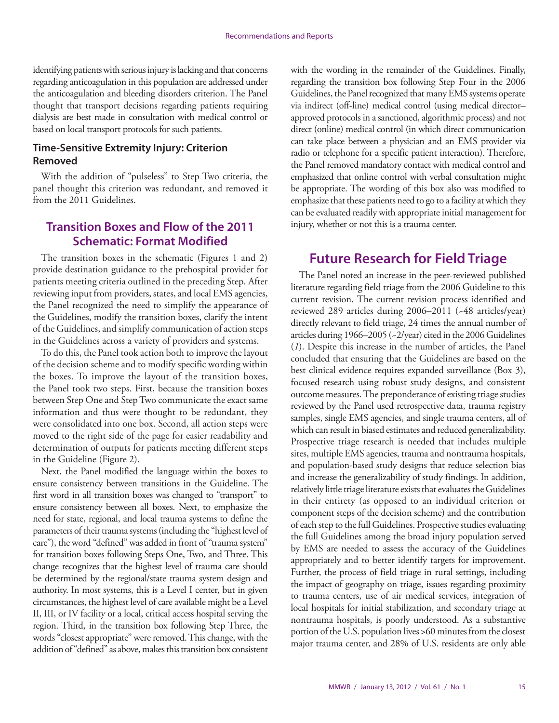<span id="page-16-0"></span>identifying patients with serious injury is lacking and that concerns regarding anticoagulation in this population are addressed under the anticoagulation and bleeding disorders criterion. The Panel thought that transport decisions regarding patients requiring dialysis are best made in consultation with medical control or based on local transport protocols for such patients.

#### **Time-Sensitive Extremity Injury: Criterion Removed**

With the addition of "pulseless" to Step Two criteria, the panel thought this criterion was redundant, and removed it from the 2011 Guidelines.

# **Transition Boxes and Flow of the 2011 Schematic: Format Modified**

The transition boxes in the schematic (Figures 1 and 2) provide destination guidance to the prehospital provider for patients meeting criteria outlined in the preceding Step. After reviewing input from providers, states, and local EMS agencies, the Panel recognized the need to simplify the appearance of the Guidelines, modify the transition boxes, clarify the intent of the Guidelines, and simplify communication of action steps in the Guidelines across a variety of providers and systems.

To do this, the Panel took action both to improve the layout of the decision scheme and to modify specific wording within the boxes. To improve the layout of the transition boxes, the Panel took two steps. First, because the transition boxes between Step One and Step Two communicate the exact same information and thus were thought to be redundant, they were consolidated into one box. Second, all action steps were moved to the right side of the page for easier readability and determination of outputs for patients meeting different steps in the Guideline (Figure 2).

Next, the Panel modified the language within the boxes to ensure consistency between transitions in the Guideline. The first word in all transition boxes was changed to "transport" to ensure consistency between all boxes. Next, to emphasize the need for state, regional, and local trauma systems to define the parameters of their trauma systems (including the "highest level of care"), the word "defined" was added in front of "trauma system" for transition boxes following Steps One, Two, and Three. This change recognizes that the highest level of trauma care should be determined by the regional/state trauma system design and authority. In most systems, this is a Level I center, but in given circumstances, the highest level of care available might be a Level II, III, or IV facility or a local, critical access hospital serving the region. Third, in the transition box following Step Three, the words "closest appropriate'' were removed. This change, with the addition of "defined" as above, makes this transition box consistent

with the wording in the remainder of the Guidelines. Finally, regarding the transition box following Step Four in the 2006 Guidelines, the Panel recognized that many EMS systems operate via indirect (off-line) medical control (using medical director– approved protocols in a sanctioned, algorithmic process) and not direct (online) medical control (in which direct communication can take place between a physician and an EMS provider via radio or telephone for a specific patient interaction). Therefore, the Panel removed mandatory contact with medical control and emphasized that online control with verbal consultation might be appropriate. The wording of this box also was modified to emphasize that these patients need to go to a facility at which they can be evaluated readily with appropriate initial management for injury, whether or not this is a trauma center.

# **Future Research for Field Triage**

The Panel noted an increase in the peer-reviewed published literature regarding field triage from the 2006 Guideline to this current revision. The current revision process identified and reviewed 289 articles during 2006–2011 (~48 articles/year) directly relevant to field triage, 24 times the annual number of articles during 1966–2005 (~2/year) cited in the 2006 Guidelines (*1*). Despite this increase in the number of articles, the Panel concluded that ensuring that the Guidelines are based on the best clinical evidence requires expanded surveillance (Box 3), focused research using robust study designs, and consistent outcome measures. The preponderance of existing triage studies reviewed by the Panel used retrospective data, trauma registry samples, single EMS agencies, and single trauma centers, all of which can result in biased estimates and reduced generalizability. Prospective triage research is needed that includes multiple sites, multiple EMS agencies, trauma and nontrauma hospitals, and population-based study designs that reduce selection bias and increase the generalizability of study findings. In addition, relatively little triage literature exists that evaluates the Guidelines in their entirety (as opposed to an individual criterion or component steps of the decision scheme) and the contribution of each step to the full Guidelines. Prospective studies evaluating the full Guidelines among the broad injury population served by EMS are needed to assess the accuracy of the Guidelines appropriately and to better identify targets for improvement. Further, the process of field triage in rural settings, including the impact of geography on triage, issues regarding proximity to trauma centers, use of air medical services, integration of local hospitals for initial stabilization, and secondary triage at nontrauma hospitals, is poorly understood. As a substantive portion of the U.S. population lives >60 minutes from the closest major trauma center, and 28% of U.S. residents are only able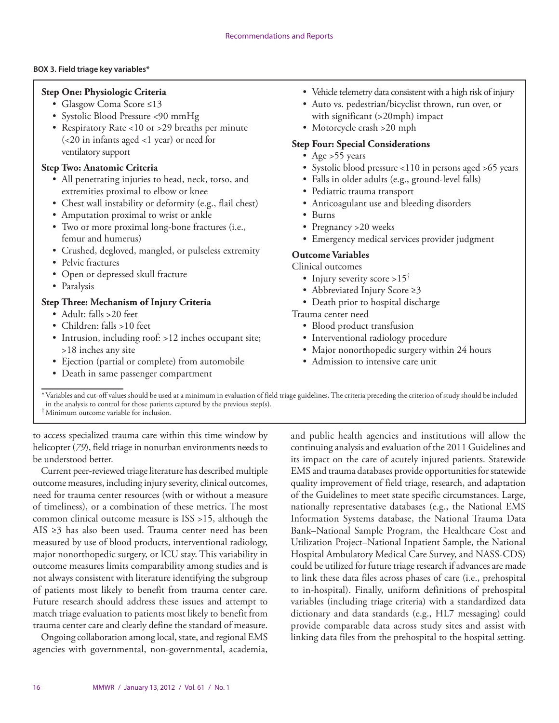#### **BOX 3. Field triage key variables\***

#### **Step One: Physiologic Criteria**

- • Glasgow Coma Score ≤13
- Systolic Blood Pressure <90 mmHg
- Respiratory Rate <10 or >29 breaths per minute (<20 in infants aged <1 year) or need for ventilatory support

#### **Step Two: Anatomic Criteria**

- All penetrating injuries to head, neck, torso, and extremities proximal to elbow or knee
- Chest wall instability or deformity (e.g., flail chest)
- • Amputation proximal to wrist or ankle
- Two or more proximal long-bone fractures (i.e., femur and humerus)
- • Crushed, degloved, mangled, or pulseless extremity
- Pelvic fractures
- Open or depressed skull fracture
- Paralysis

#### **Step Three: Mechanism of Injury Criteria**

- Adult: falls >20 feet
- Children: falls >10 feet
- Intrusion, including roof: >12 inches occupant site; >18 inches any site
- • Ejection (partial or complete) from automobile
- Death in same passenger compartment
- Vehicle telemetry data consistent with a high risk of injury
- • Auto vs. pedestrian/bicyclist thrown, run over, or with significant (>20mph) impact
- Motorcycle crash >20 mph

#### **Step Four: Special Considerations**

- Age > 55 years
- Systolic blood pressure <110 in persons aged >65 years
- Falls in older adults (e.g., ground-level falls)
- • Pediatric trauma transport
- Anticoagulant use and bleeding disorders
- • Burns
- Pregnancy > 20 weeks
- Emergency medical services provider judgment

# **Outcome Variables**

Clinical outcomes

- Injury severity score  $>15^{\dagger}$
- • Abbreviated Injury Score ≥3
- Death prior to hospital discharge

Trauma center need

- • Blood product transfusion
- Interventional radiology procedure
- Major nonorthopedic surgery within 24 hours
- Admission to intensive care unit

\*Variables and cut-off values should be used at a minimum in evaluation of field triage guidelines. The criteria preceding the criterion of study should be included in the analysis to control for those patients captured by the previous step(s).

†Minimum outcome variable for inclusion.

to access specialized trauma care within this time window by helicopter (*79*), field triage in nonurban environments needs to be understood better.

Current peer-reviewed triage literature has described multiple outcome measures, including injury severity, clinical outcomes, need for trauma center resources (with or without a measure of timeliness), or a combination of these metrics. The most common clinical outcome measure is ISS >15, although the AIS ≥3 has also been used. Trauma center need has been measured by use of blood products, interventional radiology, major nonorthopedic surgery, or ICU stay. This variability in outcome measures limits comparability among studies and is not always consistent with literature identifying the subgroup of patients most likely to benefit from trauma center care. Future research should address these issues and attempt to match triage evaluation to patients most likely to benefit from trauma center care and clearly define the standard of measure.

Ongoing collaboration among local, state, and regional EMS agencies with governmental, non-governmental, academia, and public health agencies and institutions will allow the continuing analysis and evaluation of the 2011 Guidelines and its impact on the care of acutely injured patients. Statewide EMS and trauma databases provide opportunities for statewide quality improvement of field triage, research, and adaptation of the Guidelines to meet state specific circumstances. Large, nationally representative databases (e.g., the National EMS Information Systems database, the National Trauma Data Bank–National Sample Program, the Healthcare Cost and Utilization Project–National Inpatient Sample, the National Hospital Ambulatory Medical Care Survey, and NASS-CDS) could be utilized for future triage research if advances are made to link these data files across phases of care (i.e., prehospital to in-hospital). Finally, uniform definitions of prehospital variables (including triage criteria) with a standardized data dictionary and data standards (e.g., HL7 messaging) could provide comparable data across study sites and assist with linking data files from the prehospital to the hospital setting.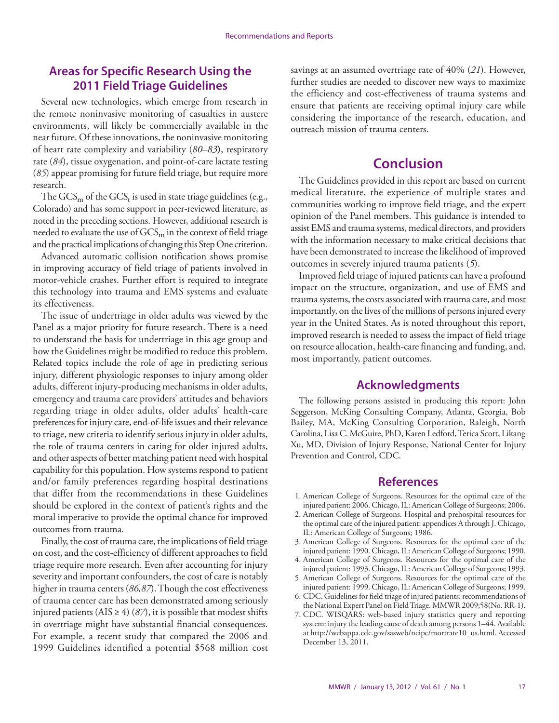# <span id="page-18-0"></span>**Areas for Specific Research Using the 2011 Field Triage Guidelines**

Several new technologies, which emerge from research in the remote noninvasive monitoring of casualties in austere environments, will likely be commercially available in the near future. Of these innovations, the noninvasive monitoring of heart rate complexity and variability (*80–83***)**, respiratory rate (*84*), tissue oxygenation, and point-of-care lactate testing (*85*) appear promising for future field triage, but require more research.

The  $GCS_m$  of the  $GCS_t$  is used in state triage guidelines (e.g., Colorado) and has some support in peer-reviewed literature, as noted in the preceding sections. However, additional research is needed to evaluate the use of  $GCS<sub>m</sub>$  in the context of field triage and the practical implications of changing this Step One criterion.

Advanced automatic collision notification shows promise in improving accuracy of field triage of patients involved in motor-vehicle crashes. Further effort is required to integrate this technology into trauma and EMS systems and evaluate its effectiveness.

The issue of undertriage in older adults was viewed by the Panel as a major priority for future research. There is a need to understand the basis for undertriage in this age group and how the Guidelines might be modified to reduce this problem. Related topics include the role of age in predicting serious injury, different physiologic responses to injury among older adults, different injury-producing mechanisms in older adults, emergency and trauma care providers' attitudes and behaviors regarding triage in older adults, older adults' health-care preferences for injury care, end-of-life issues and their relevance to triage, new criteria to identify serious injury in older adults, the role of trauma centers in caring for older injured adults, and other aspects of better matching patient need with hospital capability for this population. How systems respond to patient and/or family preferences regarding hospital destinations that differ from the recommendations in these Guidelines should be explored in the context of patient's rights and the moral imperative to provide the optimal chance for improved outcomes from trauma.

Finally, the cost of trauma care, the implications of field triage on cost, and the cost-efficiency of different approaches to field triage require more research. Even after accounting for injury severity and important confounders, the cost of care is notably higher in trauma centers (*86,87*). Though the cost effectiveness of trauma center care has been demonstrated among seriously injured patients (AIS  $\geq$  4) (87), it is possible that modest shifts in overtriage might have substantial financial consequences. For example, a recent study that compared the 2006 and 1999 Guidelines identified a potential \$568 million cost

savings at an assumed overtriage rate of 40% (*21*). However, further studies are needed to discover new ways to maximize the efficiency and cost-effectiveness of trauma systems and ensure that patients are receiving optimal injury care while considering the importance of the research, education, and outreach mission of trauma centers.

# **Conclusion**

The Guidelines provided in this report are based on current medical literature, the experience of multiple states and communities working to improve field triage, and the expert opinion of the Panel members. This guidance is intended to assist EMS and trauma systems, medical directors, and providers with the information necessary to make critical decisions that have been demonstrated to increase the likelihood of improved outcomes in severely injured trauma patients (*5*).

Improved field triage of injured patients can have a profound impact on the structure, organization, and use of EMS and trauma systems, the costs associated with trauma care, and most importantly, on the lives of the millions of persons injured every year in the United States. As is noted throughout this report, improved research is needed to assess the impact of field triage on resource allocation, health-care financing and funding, and, most importantly, patient outcomes.

## **Acknowledgments**

The following persons assisted in producing this report: John Seggerson, McKing Consulting Company, Atlanta, Georgia, Bob Bailey, MA, McKing Consulting Corporation, Raleigh, North Carolina, Lisa C. McGuire, PhD, Karen Ledford, Terica Scott, Likang Xu, MD, Division of Injury Response, National Center for Injury Prevention and Control, CDC.

#### **References**

- 1. American College of Surgeons. Resources for the optimal care of the injured patient: 2006. Chicago, IL: American College of Surgeons; 2006.
- 2. American College of Surgeons. Hospital and prehospital resources for the optimal care of the injured patient: appendices A through J. Chicago, IL: American College of Surgeons; 1986.
- 3. American College of Surgeons. Resources for the optimal care of the injured patient: 1990. Chicago, IL: American College of Surgeons; 1990.
- 4. American College of Surgeons. Resources for the optimal care of the injured patient: 1993. Chicago, IL: American College of Surgeons; 1993.
- 5. American College of Surgeons. Resources for the optimal care of the injured patient: 1999. Chicago, IL: American College of Surgeons; 1999.
- 6. CDC. Guidelines for field triage of injured patients: recommendations of the National Expert Panel on Field Triage. MMWR 2009;58(No. RR-1).
- 7. CDC. WISQARS: web-based injury statistics query and reporting system: injury the leading cause of death among persons 1–44. Available at http://webappa.cdc.gov/sasweb/ncipc/mortrate10\_us.html. Accessed December 13, 2011.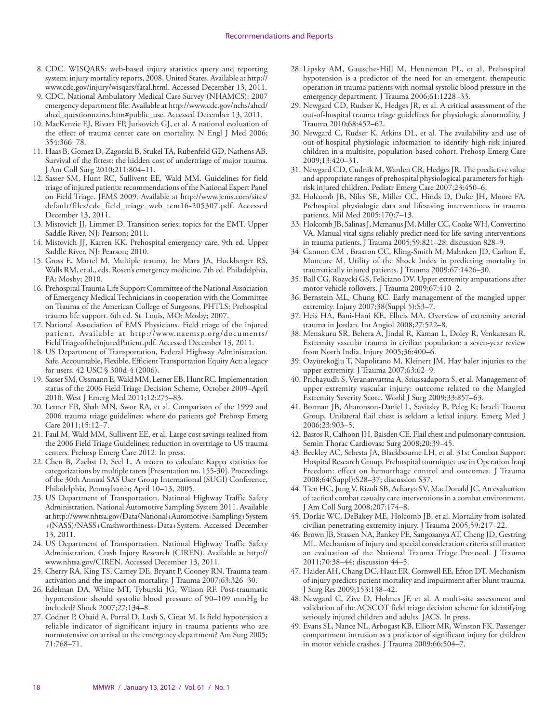- 8. CDC. WISQARS: web-based injury statistics query and reporting system: injury mortality reports, 2008, United States. Available at http:// www.cdc.gov/injury/wisqars/fatal.html. Accessed December 13, 2011.
- 9. CDC. National Ambulatory Medical Care Survey (NHAMCS): 2007 emergency department file. Available at http://www.cdc.gov/nchs/ahcd/ ahcd\_questionnaires.htm#public\_use. Accessed December 13, 2011.
- 10. MacKenzie EJ, Rivara FP, Jurkovich GJ, et al. A national evaluation of the effect of trauma center care on mortality. N Engl J Med 2006; 354:366–78.
- 11. Haas B, Gomez D, Zagorski B, Stukel TA, Rubenfeld GD, Nathens AB. Survival of the fittest: the hidden cost of undertriage of major trauma. J Am Coll Surg 2010;211:804–11.
- 12. Sasser SM, Hunt RC, Sullivent EE, Wald MM. Guidelines for field triage of injured patients: recommendations of the National Expert Panel on Field Triage. JEMS 2009. Available at http://www.jems.com/sites/ default/files/cdc\_field\_triage\_web\_tcm16-205307.pdf. Accessed December 13, 2011.
- 13. Mistovich JJ, Limmer D. Transition series: topics for the EMT. Upper Saddle River, NJ: Pearson; 2011.
- 14. Mistovich JJ, Karren KK. Prehospital emergency care. 9th ed. Upper Saddle River, NJ: Pearson; 2010.
- 15. Gross E, Martel M. Multiple trauma. In: Marx JA, Hockberger RS, Walls RM, et al., eds. Rosen's emergency medicine. 7th ed. Philadelphia, PA: Mosby; 2010.
- 16. Prehospital Trauma Life Support Committee of the National Association of Emergency Medical Technicians in cooperation with the Committee on Trauma of the American College of Surgeons. PHTLS: Prehospital trauma life support. 6th ed. St. Louis, MO: Mosby; 2007.
- 17. National Association of EMS Physicians. Field triage of the injured patient. Available at http://www.naemsp.org/documents/ FieldTriageoftheInjuredPatient.pdf. Accessed December 13, 2011.
- 18. US Department of Transportation, Federal Highway Administration. Safe, Accountable, Flexible, Efficient Transportation Equity Act: a legacy for users. 42 USC § 300d-4 (2006).
- 19. Sasser SM, Ossmann E, Wald MM, Lerner EB, Hunt RC. Implementation status of the 2006 Field Triage Decision Scheme, October 2009–April 2010. West J Emerg Med 2011;12:275–83.
- 20. Lerner EB, Shah MN, Swor RA, et al. Comparison of the 1999 and 2006 trauma triage guidelines: where do patients go? Prehosp Emerg Care 2011;15:12–7.
- 21. Faul M, Wald MM, Sullivent EE, et al. Large cost savings realized from the 2006 Field Triage Guidelines: reduction in overtriage to US trauma centers. Prehosp Emerg Care 2012. In press.
- 22. Chen B, Zaebst D, Seel L. A macro to calculate Kappa statistics for categorizations by multiple raters [Presentation no. 155-30]. Proceedings of the 30th Annual SAS User Group International (SUGI) Conference, Philadelphia, Pennsylvania; April 10–13, 2005.
- 23. US Department of Transportation. National Highway Traffic Safety Administration. National Automotive Sampling System 2011. Available at http://www.nhtsa.gov/Data/National+Automotive+Sampling+System +(NASS)/NASS+Crashworthiness+Data+System. Accessed December 13, 2011.
- 24. US Department of Transportation. National Highway Traffic Safety Administration. Crash Injury Research (CIREN). Available at http:// www.nhtsa.gov/CIREN. Accessed December 13, 2011.
- 25. Cherry RA, King TS, Carney DE, Bryant P, Cooney RN. Trauma team activation and the impact on mortality. J Trauma 2007;63:326–30.
- 26. Edelman DA, White MT, Tyburski JG, Wilson RF. Post-traumatic hypotension: should systolic blood pressure of 90–109 mmHg be included? Shock 2007;27:134–8.
- 27. Codner P, Obaid A, Porral D, Lush S, Cinat M. Is field hypotension a reliable indicator of significant injury in trauma patients who are normotensive on arrival to the emergency department? Am Surg 2005; 71:768–71.
- 28. Lipsky AM, Gausche-Hill M, Henneman PL, et al. Prehospital hypotension is a predictor of the need for an emergent, therapeutic operation in trauma patients with normal systolic blood pressure in the emergency department. J Trauma 2006;61:1228–33.
- 29. Newgard CD, Rudser K, Hedges JR, et al. A critical assessment of the out-of-hospital trauma triage guidelines for physiologic abnormality. J Trauma 2010;68:452–62.
- 30. Newgard C, Rudser K, Atkins DL, et al. The availability and use of out-of-hospital physiologic information to identify high-risk injured children in a multisite, population-based cohort. Prehosp Emerg Care 2009;13:420–31.
- 31. Newgard CD, Cudnik M, Warden CR, Hedges JR. The predictive value and appropriate ranges of prehospital physiological parameters for highrisk injured children. Pediatr Emerg Care 2007;23:450–6.
- 32. Holcomb JB, Niles SE, Miller CC, Hinds D, Duke JH, Moore FA. Prehospital physiologic data and lifesaving interventions in trauma patients. Mil Med 2005;170:7–13.
- 33. Holcomb JB, Salinas J, Mcmanus JM, Miller CC, Cooke WH, Convertino VA. Manual vital signs reliably predict need for life-saving interventions in trauma patients. J Trauma 2005;59:821–28; discussion 828–9.
- 34. Cannon CM , Braxton CC, Kling-Smith M, Mahnken JD, Carlton E, Moncure M. Utility of the Shock Index in predicting mortality in traumatically injured patients. J Trauma 2009;67:1426–30.
- 35. Ball CG, Rozycki GS, Feliciano DV. Upper extremity amputations after motor vehicle rollovers. J Trauma 2009;67:410–2.
- 36. Bernstein ML, Chung KC. Early management of the mangled upper extremity. Injury 2007;38(Suppl 5):S3–7.
- 37. Heis HA, Bani-Hani KE, Elheis MA. Overview of extremity arterial trauma in Jordan. Int Angiol 2008;27:522–8.
- 38. Menakuru SR, Behera A, Jindal R, Kaman L, Doley R, Venkatesan R. Extremity vascular trauma in civilian population: a seven-year review from North India. Injury 2005;36:400–6.
- 39. Ozyürekoğlu T, Napolitano M, Kleinert JM. Hay baler injuries to the upper extremity. J Trauma 2007;63:62–9.
- 40. Prichayudh S, Verananvattna A, Sriussadaporn S, et al. Management of upper extremity vascular injury: outcome related to the Mangled Extremity Severity Score. World J Surg 2009;33:857–63.
- 41. Borman JB, Aharonson-Daniel L, Savitsky B, Peleg K; Israeli Trauma Group. Unilateral flail chest is seldom a lethal injury. Emerg Med J 2006;23:903–5.
- 42. Bastos R, Calhoon JH, Baisden CE. Flail chest and pulmonary contusion. Semin Thorac Cardiovasc Surg 2008;20:39–45.
- 43. Beekley AC, Sebesta JA, Blackbourne LH, et al. 31st Combat Support Hospital Research Group. Prehospital tourniquet use in Operation Iraqi Freedom: effect on hemorrhage control and outcomes. J Trauma 2008;64(Suppl):S28–37; discussion S37.
- 44. Tien HC, Jung V, Rizoli SB, Acharya SV, MacDonald JC. An evaluation of tactical combat casualty care interventions in a combat environment. J Am Coll Surg 2008;207:174–8.
- 45. Dorlac WC, DeBakey ME, Holcomb JB, et al. Mortality from isolated civilian penetrating extremity injury. J Trauma 2005;59:217–22.
- 46. Brown JB, Stassen NA, Bankey PE, Sangosanya AT, Cheng JD, Gestring ML. Mechanism of injury and special consideration criteria still matter: an evaluation of the National Trauma Triage Protocol. J Trauma 2011;70:38–44; discussion 44–5.
- 47. Haider AH, Chang DC, Haut ER, Cornwell EE, Efron DT. Mechanism of injury predicts patient mortality and impairment after blunt trauma. J Surg Res 2009;153:138–42.
- 48. Newgard C, Zive D, Holmes JF, et al. A multi-site assessment and validation of the ACSCOT field triage decision scheme for identifying seriously injured children and adults. JACS. In press.
- 49. Evans SL, Nance NL, Arbogast KB, Elliott MR, Winston FK. Passenger compartment intrusion as a predictor of significant injury for children in motor vehicle crashes. J Trauma 2009;66:504–7.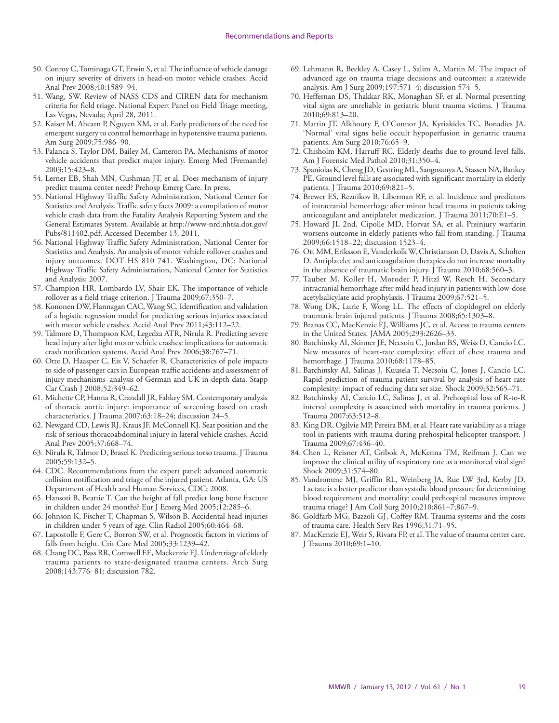- 50. Conroy C, Tominaga GT, Erwin S, et al. The influence of vehicle damage on injury severity of drivers in head-on motor vehicle crashes. Accid Anal Prev 2008;40:1589–94.
- 51. Wang, SW. Review of NASS CDS and CIREN data for mechanism criteria for field triage. National Expert Panel on Field Triage meeting, Las Vegas, Nevada; April 28, 2011.
- 52. Kaiser M, Ahearn P, Nguyen XM, et al. Early predictors of the need for emergent surgery to control hemorrhage in hypotensive trauma patients. Am Surg 2009;75:986–90.
- 53. Palanca S, Taylor DM, Bailey M, Cameron PA. Mechanisms of motor vehicle accidents that predict major injury. Emerg Med (Fremantle) 2003;15:423–8.
- 54. Lerner EB, Shah MN, Cushman JT, et al. Does mechanism of injury predict trauma center need? Prehosp Emerg Care. In press.
- 55. National Highway Traffic Safety Administration, National Center for Statistics and Analysis. Traffic safety facts 2009: a compilation of motor vehicle crash data from the Fatality Analysis Reporting System and the General Estimates System. Available at http://www-nrd.nhtsa.dot.gov/ Pubs/811402.pdf. Accessed December 13, 2011.
- 56. National Highway Traffic Safety Administration, National Center for Statistics and Analysis. An analysis of motor vehicle rollover crashes and injury outcomes. DOT HS 810 741. Washington, DC: National Highway Traffic Safety Administration, National Center for Statistics and Analysis; 2007.
- 57. Champion HR, Lombardo LV, Shair EK. The importance of vehicle rollover as a field triage criterion. J Trauma 2009;67:350–7.
- 58. Kononen DW, Flannagan CAC, Wang SC. Identification and validation of a logistic regression model for predicting serious injuries associated with motor vehicle crashes. Accid Anal Prev 2011;43:112–22.
- 59. Talmore D, Thompson KM, Legedza ATR, Nirula R. Predicting severe head injury after light motor vehicle crashes: implications for automatic crash notification systems. Accid Anal Prev 2006;38:767–71.
- 60. Otte D, Haasper C, Eis V, Schaefer R. Characteristics of pole impacts to side of passenger cars in European traffic accidents and assessment of injury mechanisms–analysis of German and UK in-depth data. Stapp Car Crash J 2008;52:349–62.
- 61. Michette CP, Hanna R, Crandall JR, Fahkry SM. Contemporary analysis of thoracic aortic injury: importance of screening based on crash characteristics. J Trauma 2007;63:18–24; discussion 24–5.
- 62. Newgard CD, Lewis RJ, Kraus JF, McConnell KJ. Seat position and the risk of serious thoracoabdominal injury in lateral vehicle crashes. Accid Anal Prev 2005;37:668–74.
- 63. Nirula R, Talmor D, Brasel K. Predicting serious torso trauma. J Trauma 2005;59:132–5.
- 64. CDC. Recommendations from the expert panel: advanced automatic collision notification and triage of the injured patient. Atlanta, GA: US Department of Health and Human Services, CDC; 2008.
- 65. Hansoti B, Beattie T. Can the height of fall predict long bone fracture in children under 24 months? Eur J Emerg Med 2005;12:285–6.
- 66. Johnson K, Fischer T, Chapman S, Wilson B. Accidental head injuries in children under 5 years of age. Clin Radiol 2005;60:464–68.
- 67. Lapostolle F, Gere C, Borron SW, et al. Prognostic factors in victims of falls from height. Crit Care Med 2005;33:1239–42.
- 68. Chang DC, Bass RR, Cornwell EE, Mackenzie EJ. Undertriage of elderly trauma patients to state-designated trauma centers. Arch Surg 2008;143:776–81; discussion 782.
- 69. Lehmann R, Beekley A, Casey L, Salim A, Martin M. The impact of advanced age on trauma triage decisions and outcomes: a statewide analysis. Am J Surg 2009;197:571–4; discussion 574–5.
- 70. Heffernan DS, Thakkar RK, Monaghan SF, et al. Normal presenting vital signs are unreliable in geriatric blunt trauma victims. J Trauma 2010;69:813–20.
- 71. Martin JT, Alkhoury F, O'Connor JA, Kyriakides TC, Bonadies JA. 'Normal' vital signs belie occult hypoperfusion in geriatric trauma patients. Am Surg 2010;76:65–9.
- 72. Chisholm KM, Harruff RC. Elderly deaths due to ground-level falls. Am J Forensic Med Pathol 2010;31:350–4.
- 73. Spaniolas K, Cheng JD, Gestring ML, Sangosanya A, Stassen NA, Bankey PE. Ground level falls are associated with significant mortality in elderly patients. J Trauma 2010;69:821–5.
- 74. Brewer ES, Reznikov B, Liberman RF, et al. Incidence and predictors of intracranial hemorrhage after minor head trauma in patients taking anticoagulant and antiplatelet medication. J Trauma 2011;70:E1–5.
- 75. Howard JL 2nd, Cipolle MD, Horvat SA, et al. Preinjury warfarin worsens outcome in elderly patients who fall from standing. J Trauma 2009;66:1518–22; discussion 1523–4.
- 76. Ott MM, Eriksson E, Vanderkolk W, Christianson D, Davis A, Scholten D. Antiplatelet and anticoagulation therapies do not increase mortality in the absence of traumatic brain injury. J Trauma 2010;68:560–3.
- 77. Tauber M, Koller H, Moroder P, Hitzl W, Resch H. Secondary intracranial hemorrhage after mild head injury in patients with low-dose acetylsalicylate acid prophylaxis. J Trauma 2009;67:521–5.
- 78. Wong DK, Lurie F, Wong LL. The effects of clopidogrel on elderly traumatic brain injured patients. J Trauma 2008;65:1303–8.
- 79. Branas CC, MacKenzie EJ, Williams JC, et al. Access to trauma centers in the United States. JAMA 2005;293:2626–33.
- 80. Batchinsky AI, Skinner JE, Necsoiu C, Jordan BS, Weiss D, Cancio LC. New measures of heart-rate complexity: effect of chest trauma and hemorrhage. J Trauma 2010;68:1178–85.
- 81. Batchinsky AI, Salinas J, Kuusela T, Necsoiu C, Jones J, Cancio LC. Rapid prediction of trauma patient survival by analysis of heart rate complexity: impact of reducing data set size. Shock 2009;32:565–71.
- 82. Batchinsky AI, Cancio LC, Salinas J, et al. Prehospital loss of R-to-R interval complexity is associated with mortality in trauma patients. J Trauma 2007;63:512–8.
- 83. King DR, Ogilvie MP, Pereira BM, et al. Heart rate variability as a triage tool in patients with trauma during prehospital helicopter transport. J Trauma 2009;67:436–40.
- 84. Chen L, Reisner AT, Gribok A, McKenna TM, Reifman J. Can we improve the clinical utility of respiratory rate as a monitored vital sign? Shock 2009;31:574–80.
- 85. Vandromme MJ, Griffin RL, Weinberg JA, Rue LW 3rd, Kerby JD. Lactate is a better predictor than systolic blood pressure for determining blood requirement and mortality: could prehospital measures improve trauma triage? J Am Coll Surg 2010;210:861–7;867–9.
- 86. Goldfarb MG, Bazzoli GJ, Coffey RM. Trauma systems and the costs of trauma care. Health Serv Res 1996;31:71–95.
- 87. MacKenzie EJ, Weir S, Rivara FP, et al. The value of trauma center care. J Trauma 2010;69:1–10.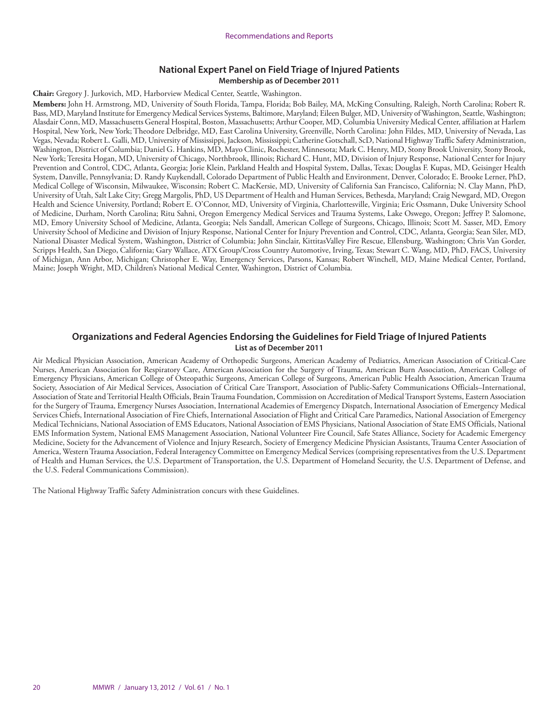#### **National Expert Panel on Field Triage of Injured Patients Membership as of December 2011**

**Chair:** Gregory J. Jurkovich, MD, Harborview Medical Center, Seattle, Washington.

**Members:** John H. Armstrong, MD, University of South Florida, Tampa, Florida; Bob Bailey, MA, McKing Consulting, Raleigh, North Carolina; Robert R. Bass, MD, Maryland Institute for Emergency Medical Services Systems, Baltimore, Maryland; Eileen Bulger, MD, University of Washington, Seattle, Washington; Alasdair Conn, MD, Massachusetts General Hospital, Boston, Massachusetts; Arthur Cooper, MD, Columbia University Medical Center, affiliation at Harlem Hospital, New York, New York; Theodore Delbridge, MD, East Carolina University, Greenville, North Carolina: John Fildes, MD, University of Nevada, Las Vegas, Nevada; Robert L. Galli, MD, University of Mississippi, Jackson, Mississippi; Catherine Gotschall, ScD, National Highway Traffic Safety Administration, Washington, District of Columbia; Daniel G. Hankins, MD, Mayo Clinic, Rochester, Minnesota; Mark C. Henry, MD, Stony Brook University, Stony Brook, New York; Teresita Hogan, MD, University of Chicago, Northbrook, Illinois; Richard C. Hunt, MD, Division of Injury Response, National Center for Injury Prevention and Control, CDC, Atlanta, Georgia; Jorie Klein, Parkland Health and Hospital System, Dallas, Texas; Douglas F. Kupas, MD, Geisinger Health System, Danville, Pennsylvania; D. Randy Kuykendall, Colorado Department of Public Health and Environment, Denver, Colorado; E. Brooke Lerner, PhD, Medical College of Wisconsin, Milwaukee, Wisconsin; Robert C. MacKersie, MD, University of California San Francisco, California; N. Clay Mann, PhD, University of Utah, Salt Lake City; Gregg Margolis, PhD, US Department of Health and Human Services, Bethesda, Maryland; Craig Newgard, MD, Oregon Health and Science University, Portland; Robert E. O'Connor, MD, University of Virginia, Charlottesville, Virginia; Eric Ossmann, Duke University School of Medicine, Durham, North Carolina; Ritu Sahni, Oregon Emergency Medical Services and Trauma Systems, Lake Oswego, Oregon; Jeffrey P. Salomone, MD, Emory University School of Medicine, Atlanta, Georgia; Nels Sandall, American College of Surgeons, Chicago, Illinois; Scott M. Sasser, MD, Emory University School of Medicine and Division of Injury Response, National Center for Injury Prevention and Control, CDC, Atlanta, Georgia; Sean Siler, MD, National Disaster Medical System, Washington, District of Columbia; John Sinclair, KittitasValley Fire Rescue, Ellensburg, Washington; Chris Van Gorder, Scripps Health, San Diego, California; Gary Wallace, ATX Group/Cross Country Automotive, Irving, Texas; Stewart C. Wang, MD, PhD, FACS, University of Michigan, Ann Arbor, Michigan; Christopher E. Way, Emergency Services, Parsons, Kansas; Robert Winchell, MD, Maine Medical Center, Portland, Maine; Joseph Wright, MD, Children's National Medical Center, Washington, District of Columbia.

#### **Organizations and Federal Agencies Endorsing the Guidelines for Field Triage of Injured Patients List as of December 2011**

Air Medical Physician Association, American Academy of Orthopedic Surgeons, American Academy of Pediatrics, American Association of Critical-Care Nurses, American Association for Respiratory Care, American Association for the Surgery of Trauma, American Burn Association, American College of Emergency Physicians, American College of Osteopathic Surgeons, American College of Surgeons, American Public Health Association, American Trauma Society, Association of Air Medical Services, Association of Critical Care Transport, Association of Public-Safety Communications Officials–International, Association of State and Territorial Health Officials, Brain Trauma Foundation, Commission on Accreditation of Medical Transport Systems, Eastern Association for the Surgery of Trauma, Emergency Nurses Association, International Academies of Emergency Dispatch, International Association of Emergency Medical Services Chiefs, International Association of Fire Chiefs, International Association of Flight and Critical Care Paramedics, National Association of Emergency Medical Technicians, National Association of EMS Educators, National Association of EMS Physicians, National Association of State EMS Officials, National EMS Information System, National EMS Management Association, National Volunteer Fire Council, Safe States Alliance, Society for Academic Emergency Medicine, Society for the Advancement of Violence and Injury Research, Society of Emergency Medicine Physician Assistants, Trauma Center Association of America, Western Trauma Association, Federal Interagency Committee on Emergency Medical Services (comprising representatives from the U.S. Department of Health and Human Services, the U.S. Department of Transportation, the U.S. Department of Homeland Security, the U.S. Department of Defense, and the U.S. Federal Communications Commission).

The National Highway Traffic Safety Administration concurs with these Guidelines.